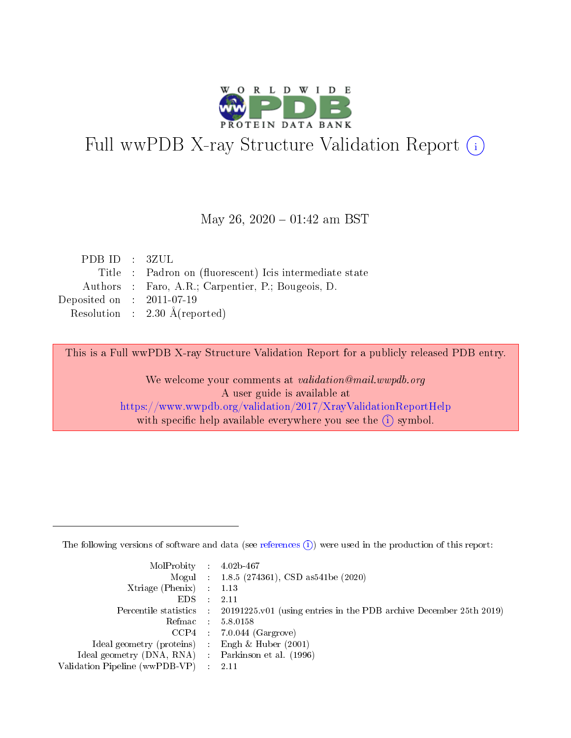

# Full wwPDB X-ray Structure Validation Report (i)

### May 26,  $2020 - 01:42$  am BST

| PDBID : 3ZUL                |                                                         |
|-----------------------------|---------------------------------------------------------|
|                             | Title : Padron on (fluorescent) Icis intermediate state |
|                             | Authors : Faro, A.R.; Carpentier, P.; Bougeois, D.      |
| Deposited on : $2011-07-19$ |                                                         |
|                             | Resolution : $2.30 \text{ Å}$ (reported)                |

This is a Full wwPDB X-ray Structure Validation Report for a publicly released PDB entry.

We welcome your comments at validation@mail.wwpdb.org A user guide is available at <https://www.wwpdb.org/validation/2017/XrayValidationReportHelp> with specific help available everywhere you see the  $(i)$  symbol.

The following versions of software and data (see [references](https://www.wwpdb.org/validation/2017/XrayValidationReportHelp#references)  $(1)$ ) were used in the production of this report:

| $MolProbability$ : 4.02b-467                        |                                                                                            |
|-----------------------------------------------------|--------------------------------------------------------------------------------------------|
|                                                     | Mogul : $1.8.5$ (274361), CSD as 541be (2020)                                              |
| Xtriage (Phenix) $: 1.13$                           |                                                                                            |
| EDS                                                 | -2.11                                                                                      |
|                                                     | Percentile statistics : 20191225.v01 (using entries in the PDB archive December 25th 2019) |
| Refmac 58.0158                                      |                                                                                            |
|                                                     | $CCP4$ 7.0.044 (Gargrove)                                                                  |
| Ideal geometry (proteins) : Engh $\&$ Huber (2001)  |                                                                                            |
| Ideal geometry (DNA, RNA) : Parkinson et al. (1996) |                                                                                            |
| Validation Pipeline (wwPDB-VP) : 2.11               |                                                                                            |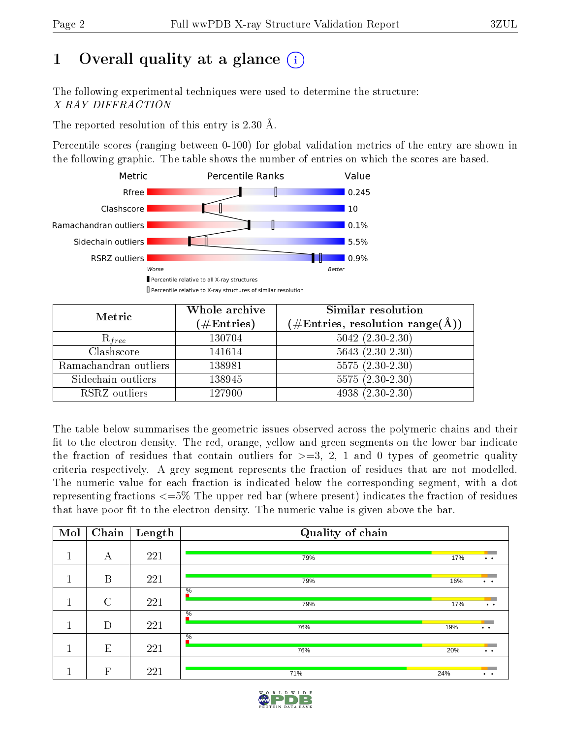# 1 [O](https://www.wwpdb.org/validation/2017/XrayValidationReportHelp#overall_quality)verall quality at a glance  $(i)$

The following experimental techniques were used to determine the structure: X-RAY DIFFRACTION

The reported resolution of this entry is 2.30 Å.

Percentile scores (ranging between 0-100) for global validation metrics of the entry are shown in the following graphic. The table shows the number of entries on which the scores are based.



| Metric                | Whole archive<br>$(\#\text{Entries})$ | <b>Similar resolution</b><br>$(\#\text{Entries}, \text{resolution range}(\text{\AA}))$ |
|-----------------------|---------------------------------------|----------------------------------------------------------------------------------------|
| $R_{free}$            | 130704                                | $5042$ $(2.30-2.30)$                                                                   |
| Clashscore            | 141614                                | $5643(2.30-2.30)$                                                                      |
| Ramachandran outliers | 138981                                | $5575(2.30-2.30)$                                                                      |
| Sidechain outliers    | 138945                                | $5575(2.30-2.30)$                                                                      |
| RSRZ outliers         | 127900                                | $4938 (2.30 - 2.30)$                                                                   |

The table below summarises the geometric issues observed across the polymeric chains and their fit to the electron density. The red, orange, yellow and green segments on the lower bar indicate the fraction of residues that contain outliers for  $>=3, 2, 1$  and 0 types of geometric quality criteria respectively. A grey segment represents the fraction of residues that are not modelled. The numeric value for each fraction is indicated below the corresponding segment, with a dot representing fractions  $\epsilon=5\%$  The upper red bar (where present) indicates the fraction of residues that have poor fit to the electron density. The numeric value is given above the bar.

| Mol | Chain       | Length | Quality of chain     |     |                                         |
|-----|-------------|--------|----------------------|-----|-----------------------------------------|
| м   | А           | 221    | 79%                  | 17% | $\bullet$ . $\bullet$                   |
|     |             |        |                      |     |                                         |
|     | B           | 221    | 79%                  | 16% | $\bullet\qquad\bullet\qquad$            |
|     |             |        | $\frac{0}{6}$        |     |                                         |
|     | $\rm C$     | 221    | 79%                  | 17% | $\bullet$ . $\bullet$                   |
|     | D           | 221    | $\frac{0}{6}$<br>76% | 19% | <b>Service</b><br>$\bullet$ . $\bullet$ |
|     |             |        | $\frac{0}{6}$        |     |                                         |
|     | E           | 221    | 76%                  | 20% | $\bullet$ . $\bullet$                   |
|     | $\mathbf F$ | 221    | 71%                  | 24% | $\ddot{\phantom{a}}$                    |

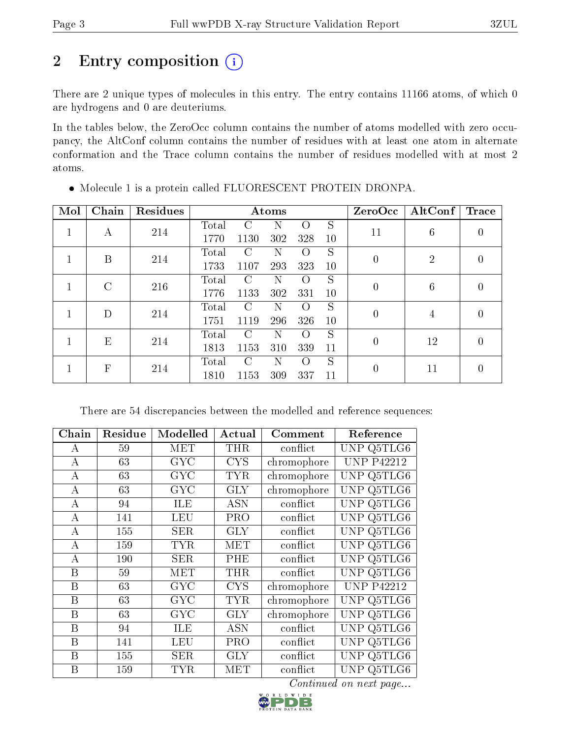# 2 Entry composition (i)

There are 2 unique types of molecules in this entry. The entry contains 11166 atoms, of which 0 are hydrogens and 0 are deuteriums.

In the tables below, the ZeroOcc column contains the number of atoms modelled with zero occupancy, the AltConf column contains the number of residues with at least one atom in alternate conformation and the Trace column contains the number of residues modelled with at most 2 atoms.

| Mol | Chain         | Residues | Atoms |               |     |                  |    | ZeroOcc          | $\operatorname{AltConf}$ | Trace            |
|-----|---------------|----------|-------|---------------|-----|------------------|----|------------------|--------------------------|------------------|
|     | А             | 214      | Total | C             | N   | $\left( \right)$ | S  | 11               |                          | 0                |
|     |               |          | 1770  | 1130          | 302 | 328              | 10 |                  | 6                        |                  |
|     | B             | 214      | Total | C             | Ν   | $\Omega$         | S  | $\overline{0}$   | $\overline{2}$           | $\left( \right)$ |
|     |               |          | 1733  | 1107          | 293 | 323              | 10 |                  |                          |                  |
|     | $\mathcal{C}$ | 216      | Total | $\mathcal{C}$ | N   | $\Omega$         | S  | $\overline{0}$   | 6                        | 0                |
|     |               |          | 1776  | 1133          | 302 | 331              | 10 |                  |                          |                  |
|     | D             | 214      | Total | $\mathcal{C}$ | N   | $\left($         | S  | $\boldsymbol{0}$ | 4                        | 0                |
|     |               |          | 1751  | 1119          | 296 | 326              | 10 |                  |                          |                  |
|     | E             | 214      | Total | $\Gamma$      | N   | $\Omega$         | S  | $\theta$         | 12                       | 0                |
|     |               |          | 1813  | 1153          | 310 | 339              | 11 |                  |                          |                  |
|     | $\mathbf{F}$  | 214      | Total | $\mathcal{C}$ | N   | $\Omega$         | S  | $\overline{0}$   | 11                       | 0                |
|     |               |          | 1810  | 1153          | 309 | 337              | 11 |                  |                          |                  |

Molecule 1 is a protein called FLUORESCENT PROTEIN DRONPA.

There are 54 discrepancies between the modelled and reference sequences:

| Chain            | Residue | Modelled   | Actual     | Comment     | Reference                          |
|------------------|---------|------------|------------|-------------|------------------------------------|
| А                | 59      | MET        | <b>THR</b> | conflict    | UNP Q5TLG6                         |
| $\boldsymbol{A}$ | 63      | <b>GYC</b> | <b>CYS</b> | chromophore | <b>UNP P42212</b>                  |
| A                | 63      | <b>GYC</b> | <b>TYR</b> | chromophore | UNP Q5TLG6                         |
| A                | 63      | GYC        | $\rm GLY$  | chromophore | Q5TLG6<br>UNP                      |
| A                | 94      | ILE        | <b>ASN</b> | conflict    | Q5TLG6<br>UNP                      |
| $\bf{A}$         | 141     | LEU        | <b>PRO</b> | conflict    | $\overline{\text{Q5TLG6}}$<br>UNP  |
| А                | 155     | <b>SER</b> | <b>GLY</b> | conflict    | $\overline{\text{Q5TLG6}}$<br>UNP. |
| А                | 159     | <b>TYR</b> | MET        | conflict    | UNP Q5TLG6                         |
| А                | 190     | <b>SER</b> | PHE        | conflict    | Q5TLG6<br>UNP                      |
| B                | 59      | MET        | <b>THR</b> | conflict    | UNP Q5TLG6                         |
| B                | 63      | <b>GYC</b> | <b>CYS</b> | chromophore | <b>UNP P42212</b>                  |
| B                | 63      | GYC        | TYR        | chromophore | UNP Q5TLG6                         |
| $\boldsymbol{B}$ | 63      | <b>GYC</b> | GLY        | chromophore | Q5TLG6<br>UNP                      |
| $\boldsymbol{B}$ | 94      | ILE        | ASN        | conflict    | Q5TLG6<br><b>UNP</b>               |
| $\boldsymbol{B}$ | 141     | <b>LEU</b> | <b>PRO</b> | conflict    | Q5TLG6<br>UNP                      |
| $\boldsymbol{B}$ | 155     | <b>SER</b> | <b>GLY</b> | conflict    | $Q5T\overline{LG6}$<br><b>UNP</b>  |
| B                | 159     | <b>TYR</b> | MET        | conflict    | UNP.<br>Q5TLG6                     |

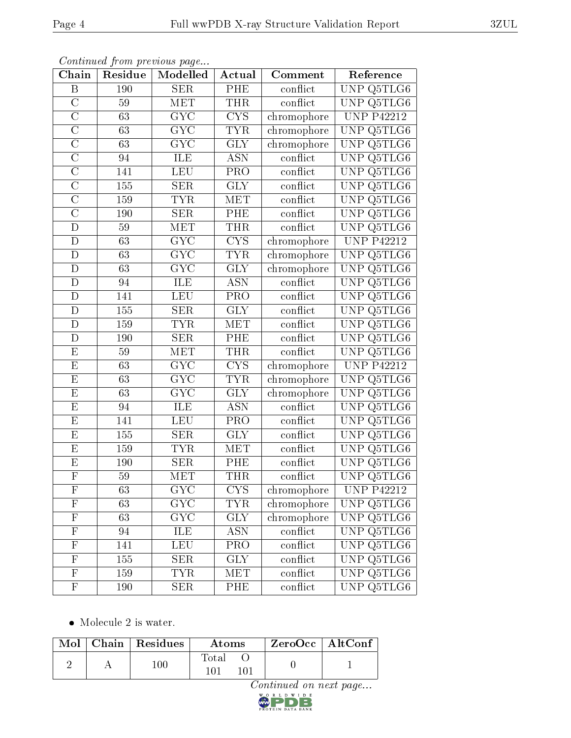| Chain                     | Residue          | Modelled                | Actual                  | Comment                      | Reference                                |
|---------------------------|------------------|-------------------------|-------------------------|------------------------------|------------------------------------------|
| $\, {\bf B}$              | 190              | <b>SER</b>              | $\overline{\rm PHE}$    | conflict                     | UNP Q5TLG6                               |
| $\overline{C}$            | $59\,$           | MET                     | <b>THR</b>              | conflict                     | UNP Q5TLG6                               |
| $\overline{\rm C}$        | 63               | $\overline{\text{GYC}}$ | $\overline{\text{CYS}}$ | chromophore                  | <b>UNP P42212</b>                        |
| $\overline{C}$            | 63               | <b>GYC</b>              | <b>TYR</b>              | chromophore                  | UNP Q5TLG6                               |
| $\overline{\rm C}$        | $\overline{63}$  | $\overline{\text{GYC}}$ | $\overline{GLY}$        | chromophore                  | UNP Q5TLG6                               |
| $\overline{C}$            | 94               | ILE                     | <b>ASN</b>              | conflict                     | UNP $Q5TLG6$                             |
| $\overline{\text{C}}$     | 141              | LEU                     | $\overline{\text{PRO}}$ | conflict                     | $\overline{\text{Q5TLG6}}$<br><b>UNP</b> |
| $\overline{\rm C}$        | 155              | <b>SER</b>              | $\overline{GLY}$        | conflict                     | Q5TLG6<br>UNP                            |
| $\overline{\rm C}$        | 159              | <b>TYR</b>              | MET                     | conflict                     | $\overline{\text{UNP Q5TL}}$ G6          |
| $\overline{\rm C}$        | 190              | SER                     | PHE                     | conflict                     | <b>UNP</b><br>Q5TLG6                     |
| D                         | 59               | $\overline{\text{MET}}$ | <b>THR</b>              | conflict                     | <b>UNP</b><br>Q5TLG6                     |
| $\mathbf{D}$              | $\overline{63}$  | $\overline{\text{GYC}}$ | $\overline{\text{CYS}}$ | chromophore                  | <b>UNP P42212</b>                        |
| $\overline{D}$            | 63               | <b>GYC</b>              | <b>TYR</b>              | chromophore                  | UNP Q5TLG6                               |
| ${\rm D}$                 | 63               | $G\overline{YC}$        | <b>GLY</b>              | chromophore                  | UNP Q5TLG6                               |
| $\mathbf{D}$              | 94               | ILE                     | <b>ASN</b>              | conflict                     | <b>UNP</b><br>Q5TLG6                     |
| $\mathbf D$               | 141              | LEU                     | PRO                     | conflict                     | Q5TLG6<br><b>UNP</b>                     |
| $\mathbf{D}$              | $\overline{155}$ | SER                     | $\overline{\text{GLY}}$ | $\overline{\text{conflict}}$ | $\overline{\text{Q5TLG6}}$<br>UNP        |
| ${\rm D}$                 | 159              | <b>TYR</b>              | MET                     | conflict                     | Q5TLG6<br>UNP                            |
| D                         | 190              | SER                     | PHE                     | conflict                     | $\overline{\text{Q5TLG6}}$<br>UNP        |
| $\overline{E}$            | $59\,$           | MET                     | <b>THR</b>              | conflict                     | UNP Q5TLG6                               |
| ${\bf E}$                 | 63               | GYC                     | <b>CYS</b>              | chromophore                  | <b>UNP P42212</b>                        |
| $\overline{E}$            | $\overline{63}$  | $\overline{\text{GYC}}$ | <b>TYR</b>              | chromophore                  | UNP Q5TLG6                               |
| ${\bf E}$                 | 63               | ${\rm GYC}$             | $\operatorname{GLY}$    | chromophore                  | <b>UNP</b><br>Q5TLG6                     |
| $\overline{E}$            | 94               | <b>ILE</b>              | <b>ASN</b>              | $\overline{\text{conflict}}$ | <b>UNP</b><br>$\overline{\text{Q5TLG6}}$ |
| E                         | 141              | <b>LEU</b>              | PRO                     | conflict                     | Q5TLG6<br>UNP                            |
| E                         | 155              | <b>SER</b>              | $\overline{GLY}$        | conflict                     | UNP Q5TLG6                               |
| $\overline{\mathrm{E}}$   | 159              | <b>TYR</b>              | <b>MET</b>              | conflict                     | $\overline{\text{Q5TLG6}}$<br>UNP        |
| $\overline{E}$            | 190              | $\overline{\text{SER}}$ | PHE                     | conflict                     | $\overline{\text{UNP}}$<br>Q5TLG6        |
| $\overline{\mathrm{F}}$   | $\overline{59}$  | MET                     | <b>THR</b>              | conflict                     | UNP Q5TLG6                               |
| $\mathbf{F}$              | 63               | $\overline{\text{GYC}}$ | CYS                     | chromophore                  | <b>UNP P42212</b>                        |
| $\mathbf F$               | 63               | <b>GYC</b>              | TYR                     | chromophore                  | UNP Q5TLG6                               |
| $\overline{F}$            | 63               | $\overline{\text{GYC}}$ | <b>GLY</b>              | chromophore                  | UNP Q5TLG6                               |
| $\mathbf{F}$              | 94               | ILE                     | ASN                     | conflict                     | UNP Q5TLG6                               |
| $\mathbf F$               | 141              | LEU                     | PRO                     | conflict                     | UNP Q5TLG6                               |
| $\boldsymbol{\mathrm{F}}$ | 155              | <b>SER</b>              | <b>GLY</b>              | conflict                     | UNP Q5TLG6                               |
| $\mathbf F$               | 159              | <b>TYR</b>              | <b>MET</b>              | conflict                     | UNP Q5TLG6                               |
| $\mathbf F$               | 190              | <b>SER</b>              | PHE                     | conflict                     | UNP Q5TLG6                               |

• Molecule 2 is water.

|  | $\text{Mol}$   Chain   Residues | Atoms        | $\lq$ ZeroOcc   AltConf |  |
|--|---------------------------------|--------------|-------------------------|--|
|  | $100\,$                         | Total<br>101 |                         |  |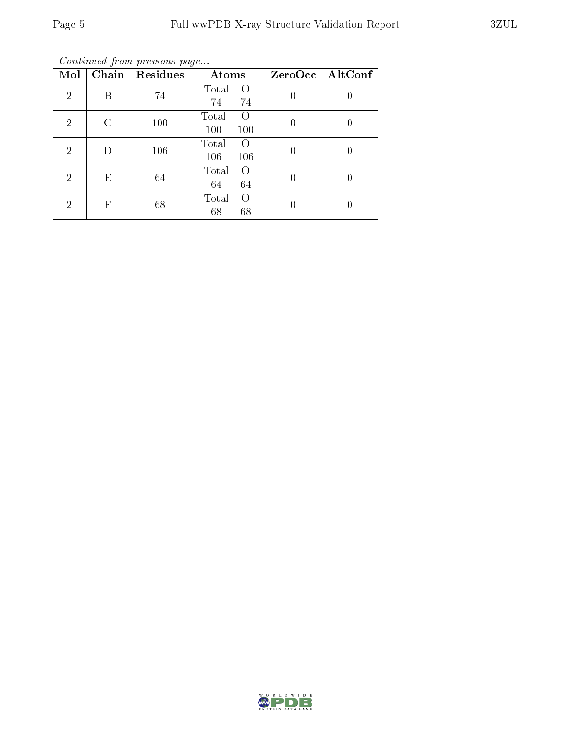Continued from previous page...

| Mol            | Chain | Residues | Atoms                                   | ZeroOcc | $\mathrm{AltConf}$ |
|----------------|-------|----------|-----------------------------------------|---------|--------------------|
| $\overline{2}$ | В     | 74       | Total<br>$\left( \right)$<br>74<br>74   |         | 0                  |
| $\overline{2}$ | C     | 100      | Total<br>$\left( \right)$<br>100<br>100 |         | 0                  |
| $\overline{2}$ | D     | 106      | Total<br>$\left( \right)$<br>106<br>106 |         |                    |
| $\overline{2}$ | Е     | 64       | Total<br>$\left( \right)$<br>64<br>64   | 0       | 0                  |
| 2              | F     | 68       | Total<br>$\left( \right)$<br>68<br>68   |         |                    |

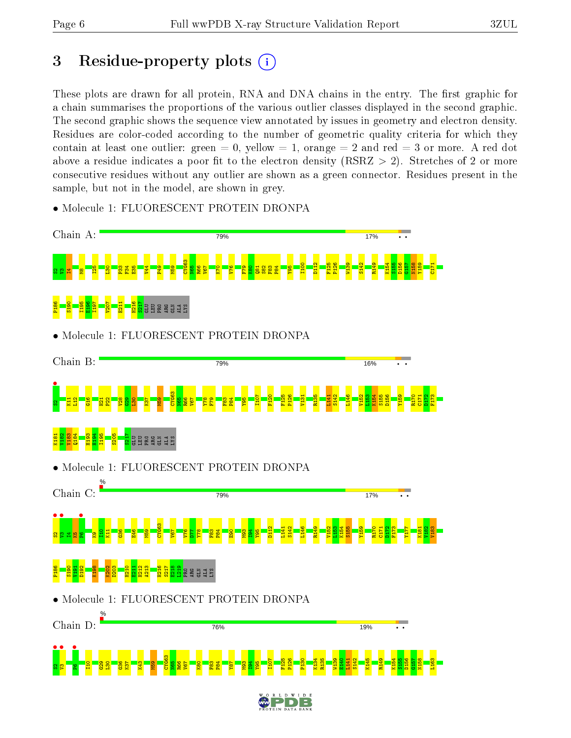# 3 Residue-property plots  $(i)$

These plots are drawn for all protein, RNA and DNA chains in the entry. The first graphic for a chain summarises the proportions of the various outlier classes displayed in the second graphic. The second graphic shows the sequence view annotated by issues in geometry and electron density. Residues are color-coded according to the number of geometric quality criteria for which they contain at least one outlier: green  $= 0$ , yellow  $= 1$ , orange  $= 2$  and red  $= 3$  or more. A red dot above a residue indicates a poor fit to the electron density (RSRZ  $> 2$ ). Stretches of 2 or more consecutive residues without any outlier are shown as a green connector. Residues present in the sample, but not in the model, are shown in grey.



• Molecule 1: FLUORESCENT PROTEIN DRONPA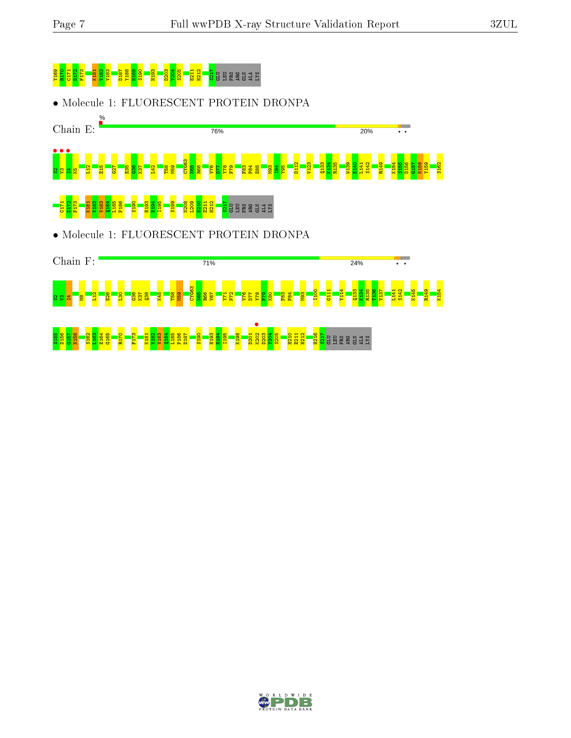R149 K154



• Molecule 1: FLUORESCENT PROTEIN DRONPA





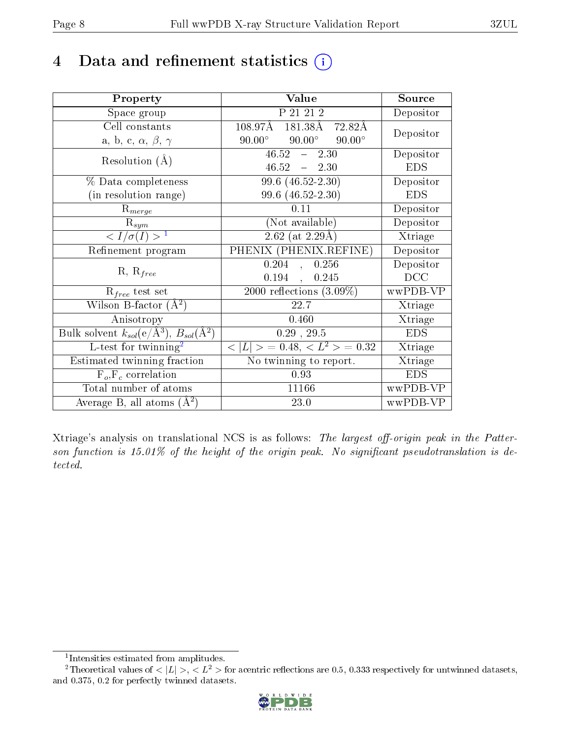# 4 Data and refinement statistics  $(i)$

| Property                                                         | Value                                           | Source     |
|------------------------------------------------------------------|-------------------------------------------------|------------|
| Space group                                                      | P 21 21 2                                       | Depositor  |
| Cell constants                                                   | $181.38\text{\AA}$ 72.82Å<br>$108.97\text{\AA}$ | Depositor  |
| a, b, c, $\alpha$ , $\beta$ , $\gamma$                           | $90.00^\circ$<br>$90.00^\circ$<br>$90.00^\circ$ |            |
| Resolution $(A)$                                                 | $46.52 -$<br>2.30                               | Depositor  |
|                                                                  | $46.52 - 2.30$                                  | <b>EDS</b> |
| % Data completeness                                              | $99.6$ $(46.52 - 2.30)$                         | Depositor  |
| (in resolution range)                                            | 99.6 (46.52-2.30)                               | <b>EDS</b> |
| $\mathrm{R}_{merge}$                                             | 0.11                                            | Depositor  |
| $\mathrm{R}_{sym}$                                               | (Not available)                                 | Depositor  |
| $\langle I/\sigma(I) \rangle^{-1}$                               | $2.62$ (at 2.29Å)                               | Xtriage    |
| Refinement program                                               | PHENIX (PHENIX.REFINE)                          | Depositor  |
|                                                                  | 0.204<br>0.256<br>$\mathbf{A}$                  | Depositor  |
| $R, R_{free}$                                                    | 0.194<br>0.245<br>$\ddot{\phantom{a}}$          | DCC        |
| $R_{free}$ test set                                              | 2000 reflections $(3.09\%)$                     | wwPDB-VP   |
| Wilson B-factor $(A^2)$                                          | 22.7                                            | Xtriage    |
| Anisotropy                                                       | 0.460                                           | Xtriage    |
| Bulk solvent $k_{sol}(\text{e}/\text{A}^3), B_{sol}(\text{A}^2)$ | 0.29, 29.5                                      | <b>EDS</b> |
| L-test for twinning <sup>2</sup>                                 | $< L >$ = 0.48, $< L^2 >$ = 0.32                | Xtriage    |
| Estimated twinning fraction                                      | No twinning to report.                          | Xtriage    |
| $F_o, F_c$ correlation                                           | 0.93                                            | <b>EDS</b> |
| Total number of atoms                                            | 11166                                           | wwPDB-VP   |
| Average B, all atoms $(A^2)$                                     | 23.0                                            | wwPDB-VP   |

Xtriage's analysis on translational NCS is as follows: The largest off-origin peak in the Patterson function is  $15.01\%$  of the height of the origin peak. No significant pseudotranslation is detected.

<sup>&</sup>lt;sup>2</sup>Theoretical values of  $\langle |L| \rangle$ ,  $\langle L^2 \rangle$  for acentric reflections are 0.5, 0.333 respectively for untwinned datasets, and 0.375, 0.2 for perfectly twinned datasets.



<span id="page-7-1"></span><span id="page-7-0"></span><sup>1</sup> Intensities estimated from amplitudes.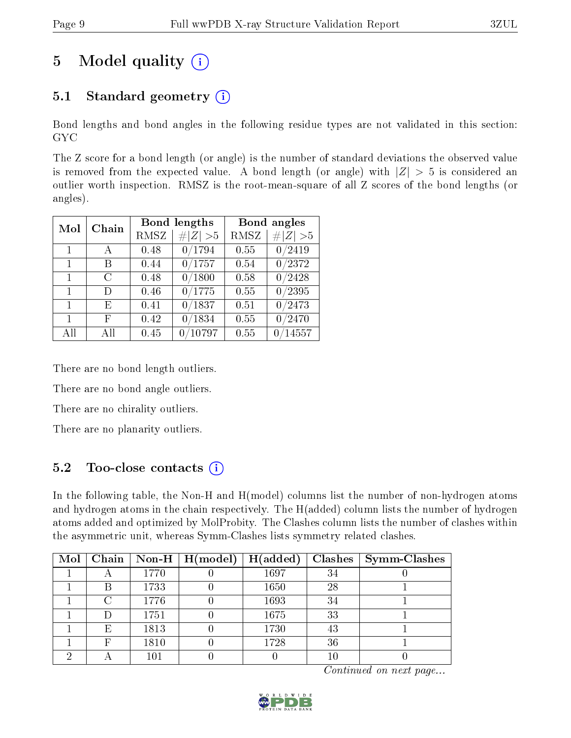# 5 Model quality  $(i)$

# 5.1 Standard geometry  $(i)$

Bond lengths and bond angles in the following residue types are not validated in this section: GYC

The Z score for a bond length (or angle) is the number of standard deviations the observed value is removed from the expected value. A bond length (or angle) with  $|Z| > 5$  is considered an outlier worth inspection. RMSZ is the root-mean-square of all Z scores of the bond lengths (or angles).

| Mol          | Chain |             | Bond lengths | Bond angles |                 |  |
|--------------|-------|-------------|--------------|-------------|-----------------|--|
|              |       | <b>RMSZ</b> | # $ Z  > 5$  | RMSZ        | # $ Z  > 5$     |  |
| $\mathbf{1}$ | A     | 0.48        | 0/1794       | 0.55        | 0/2419          |  |
| 1            | В     | 0.44        | 0/1757       | 0.54        | 0/2372          |  |
| 1            | C     | 0.48        | 0/1800       | 0.58        | 0/2428          |  |
| $\mathbf{1}$ | Ð     | 0.46        | 0/1775       | 0.55        | $\sqrt{0/2395}$ |  |
| $\mathbf{1}$ | E     | 0.41        | 0/1837       | 0.51        | 0/2473          |  |
| 1            | F     | 0.42        | 0/1834       | 0.55        | 0/2470          |  |
| All          | ΑH    | 0.45        | /10797<br>0  | 0.55        | 0/14557         |  |

There are no bond length outliers.

There are no bond angle outliers.

There are no chirality outliers.

There are no planarity outliers.

### 5.2 Too-close contacts  $\overline{()}$

In the following table, the Non-H and H(model) columns list the number of non-hydrogen atoms and hydrogen atoms in the chain respectively. The H(added) column lists the number of hydrogen atoms added and optimized by MolProbity. The Clashes column lists the number of clashes within the asymmetric unit, whereas Symm-Clashes lists symmetry related clashes.

| Mol |   |      | $\boxed{\text{Chain}}$   Non-H   H(model) | H(added) | Clashes | $\mid$ Symm-Clashes |
|-----|---|------|-------------------------------------------|----------|---------|---------------------|
|     |   | 1770 |                                           | 1697     | 34      |                     |
|     | В | 1733 |                                           | 1650     | 28      |                     |
|     |   | 1776 |                                           | 1693     | 34      |                     |
|     |   | 1751 |                                           | 1675     | 33      |                     |
|     | Е | 1813 |                                           | 1730     | 43      |                     |
|     | F | 1810 |                                           | 1728     | 36      |                     |
|     |   | 101  |                                           |          | 10      |                     |

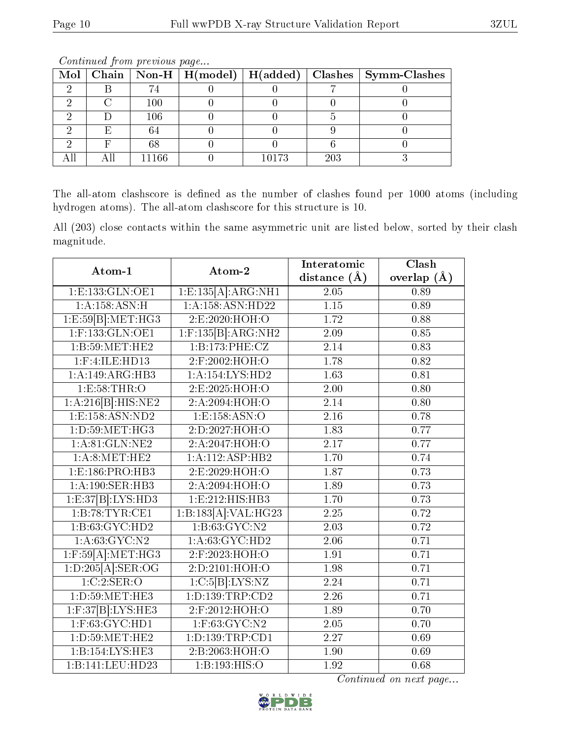| Mol |   |         |       |     | Chain   Non-H   H(model)   H(added)   Clashes   Symm-Clashes |
|-----|---|---------|-------|-----|--------------------------------------------------------------|
|     |   | 74      |       |     |                                                              |
|     |   | $100\,$ |       |     |                                                              |
|     |   | 106     |       |     |                                                              |
|     | E | 64      |       |     |                                                              |
|     |   | 68      |       |     |                                                              |
|     |   | 11166   | 10173 | 203 |                                                              |

The all-atom clashscore is defined as the number of clashes found per 1000 atoms (including hydrogen atoms). The all-atom clashscore for this structure is 10.

All (203) close contacts within the same asymmetric unit are listed below, sorted by their clash magnitude.

| Atom-1                                  | Atom-2                    | Interatomic       | Clash         |
|-----------------------------------------|---------------------------|-------------------|---------------|
|                                         |                           | distance $(\AA)$  | overlap $(A)$ |
| 1:E:133:GLN:OE1                         | 1: E: 135[A]: ARG: NH1    | 2.05              | 0.89          |
| 1:A:158:ASN:H                           | 1:A:158:ASN:HD22          | $\overline{1.15}$ | 0.89          |
| $1: E:59[B]: \overline{\text{MET:HG3}}$ | 2:E:2020:HOH:O            | 1.72              | 0.88          |
| $1:$ F:133:GLN:OE1                      | $1:$ F:135 $[B]$ :ARG:NH2 | 2.09              | 0.85          |
| 1:B:59:MET:HE2                          | 1:B:173:PHE:CZ            | 2.14              | 0.83          |
| 1:F:4:ILE:HD13                          | 2:F:2002:HOH:O            | 1.78              | 0.82          |
| 1:A:149:ARG:HB3                         | 1:A:154:LYS:HD2           | 1.63              | 0.81          |
| 1:E:58:THR:O                            | 2:E:2025:HOH:O            | 2.00              | 0.80          |
| 1:A:216[B]:HIS:NE2                      | 2: A:2094: HOH:O          | 2.14              | 0.80          |
| 1: E: 158: ASN: ND2                     | 1:E:158:ASN:O             | 2.16              | 0.78          |
| 1: D:59: MET:HG3                        | 2: D: 2027: HOH:O         | 1.83              | 0.77          |
| 1: A:81: GLN:NE2                        | 2:A:2047:HOH:O            | 2.17              | 0.77          |
| 1: A:8: MET:HE2                         | 1:A:112:ASP:HB2           | 1.70              | 0.74          |
| 1:E:186:PRO:HB3                         | 2:E:2029:HOH:O            | 1.87              | 0.73          |
| 1:A:190:SER:HB3                         | 2:A:2094:HOH:O            | 1.89              | 0.73          |
| 1: E:37[B]: LYS: HD3                    | 1:E:212:HIS:HB3           | 1.70              | 0.73          |
| 1:B:78:TYR:CE1                          | 1:B:183[A]:VAL:HG23       | 2.25              | 0.72          |
| 1:B:63:GYC:HD2                          | 1: B:63: GYC:N2           | 2.03              | 0.72          |
| 1: A:63: GYC:N2                         | 1: A:63: GYC: HD2         | 2.06              | 0.71          |
| $1:$ F:59 $[A]$ :MET:HG3                | 2:F:2023:HOH:O            | 1.91              | 0.71          |
| 1:D:205[A].SER:OG                       | 2: D: 2101: HOH:O         | 1.98              | 0.71          |
| 1:C:2:SER:O                             | 1:C:5[B]:LYS:NZ           | 2.24              | 0.71          |
| 1: D:59: MET:HE3                        | 1: D: 139: TRP: CD2       | 2.26              | 0.71          |
| $1:$ F:37 $[B]$ :LYS:HE3                | 2:F:2012:HOH:O            | 1.89              | 0.70          |
| $1:$ F:63:GYC:HD1                       | $1:$ F:63:GYC:N2          | 2.05              | 0.70          |
| 1: D:59: MET:HE2                        | 1:D:139:TRP:CD1           | 2.27              | 0.69          |
| 1:B:154:LYS:HE3                         | 2:B:2063:HOH:O            | 1.90              | 0.69          |
| 1:B:141:LEU:HD23                        | 1:B:193:HIS:O             | 1.92              | 0.68          |

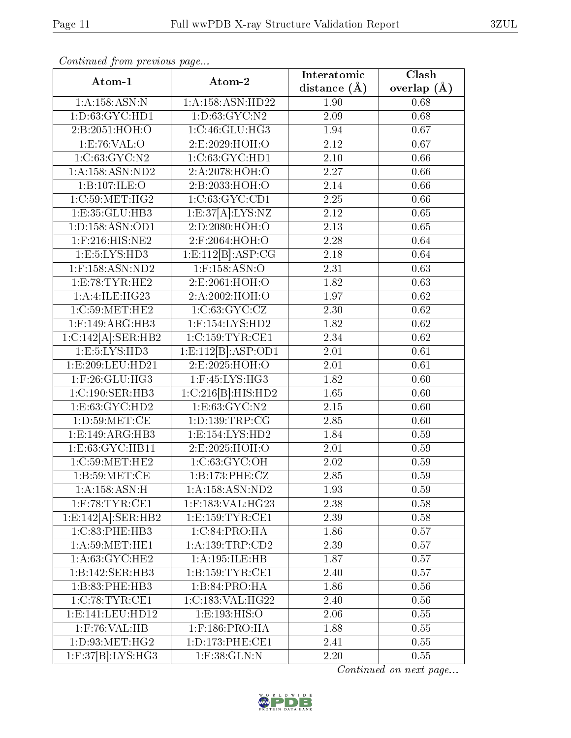| Atom-1                                  | Atom-2                 | Interatomic      | Clash         |  |
|-----------------------------------------|------------------------|------------------|---------------|--|
|                                         |                        | distance $(\AA)$ | overlap $(A)$ |  |
| 1:A:158:ASN:N                           | 1:A:158:ASN:HD22       | 1.90             | 0.68          |  |
| 1: D: 63: GYC: HD1                      | 1: D: 63: GYC: N2      | 2.09             | 0.68          |  |
| 2:B:2051:HOH:O                          | 1:C:46:GLU:HG3         | 1.94             | 0.67          |  |
| 1:E:76:VAL:O                            | 2:E:2029:HOH:O         | 2.12             | 0.67          |  |
| 1:C:63:GYC:N2                           | 1:C:63:GYC:HD1         | 2.10             | 0.66          |  |
| 1: A: 158: ASN: ND2                     | 2:A:2078:HOH:O         | 2.27             | 0.66          |  |
| 1:B:107:ILE:O                           | 2:B:2033:HOH:O         | 2.14             | 0.66          |  |
| 1:C:59:MET:HG2                          | 1:C:63:GYC:CD1         | 2.25             | 0.66          |  |
| 1:E:35:GLU:HB3                          | 1: E:37[A]: LYS:NZ     | 2.12             | 0.65          |  |
| 1:D:158:ASN:OD1                         | 2:D:2080:HOH:O         | 2.13             | 0.65          |  |
| $1:$ F:216:HIS:NE2                      | 2:F:2064:HOH:O         | 2.28             | 0.64          |  |
| 1: E: 5: LYS: HD3                       | 1: E:112[B]: ASP:CG    | 2.18             | 0.64          |  |
| $1:$ F:158:ASN:ND2                      | $1:$ F:158:ASN:O       | 2.31             | 0.63          |  |
| 1:E:78:TYR:HE2                          | 2:E:2061:HOH:O         | 1.82             | 0.63          |  |
| 1:A:1 <sub>1</sub> IE:HG23              | 2:A:2002:HOH:O         | 1.97             | 0.62          |  |
| 1:C:59:MET:HE2                          | 1:C:63:GVC:CZ          | 2.30             | 0.62          |  |
| $1:$ F:149:ARG:HB3                      | $1:$ F:154:LYS:HD2     | 1.82             | 0.62          |  |
| 1:C:142[A].SER:HB2                      | 1:C:159:TYR:CE1        | 2.34             | 0.62          |  |
| $1: \overline{E:5:LYS:HD3}$             | 1: E: 112[B]: ASP: OD1 | 2.01             | 0.61          |  |
| 1:E:209:LEU:HD21                        | 2:E:2025:HOH:O         | 2.01             | 0.61          |  |
| $1:$ F:26:GLU:HG3                       | $1:$ F:45:LYS:HG3      | 1.82             | 0.60          |  |
| 1:C:190:SER:HB3                         | 1:C:216[B]:HIS:HD2     | 1.65             | 0.60          |  |
| 1:E:63:GYC:HD2                          | 1:E:63:GYC:N2          | 2.15             | 0.60          |  |
| 1: D:59:MET:CE                          | 1:D:139:TRP:CG         | 2.85             | 0.60          |  |
| 1:E:149:ARG:HB3                         | 1: E: 154: LYS: HD2    | 1.84             | 0.59          |  |
| 1:E:63:GYC:HB11                         | 2:E:2025:HOH:O         | 2.01             | 0.59          |  |
| 1:C:59:MET:HE2                          | 1:C:63:GYC:OH          | 2.02             | 0.59          |  |
| 1:B:59:MET:CE                           | 1:B:173:PHE:CZ         | 2.85             | 0.59          |  |
| 1:A:158:ASN:H                           | 1: A: 158: ASN: ND2    | 1.93             | 0.59          |  |
| $1:$ F:78:TYR:CE1                       | $1:$ F:183:VAL:HG23    | 2.38             | 0.58          |  |
| $1: \overline{E:142[A]:\text{SER}:HB2}$ | 1: E: 159: TYR: CE1    | 2.39             | 0.58          |  |
| 1:C:83:PHE:HB3                          | 1:C:84:PRO:HA          | 1.86             | 0.57          |  |
| 1: A:59: MET:HE1                        | 1: A: 139: TRP: CD2    | 2.39             | 0.57          |  |
| 1: A:63: GYC:HE2                        | 1:A:195:ILE:HB         | 1.87             | 0.57          |  |
| 1:B:142:SER:HB3                         | 1: B: 159: TYR: CE1    | 2.40             | 0.57          |  |
| 1:B:83:PHE:HB3                          | 1:B:84:PRO:HA          | 1.86             | 0.56          |  |
| 1:C:78:TYR:CE1                          | 1:C:183:VAL:HG22       | 2.40             | 0.56          |  |
| 1: E: 141: LEU: HD12                    | 1:E:193:HIS:O          | 2.06             | 0.55          |  |
| $1:$ F:76:VAL:HB                        | $1:$ F:186:PRO:HA      | 1.88             | 0.55          |  |
| 1: D:93:MET:HG2                         | 1: D: 173: PHE: CE1    | 2.41             | 0.55          |  |
| $1:$ F:37 $[B]$ :LYS:HG3                | $1:$ F:38:GLN:N        | 2.20             | 0.55          |  |

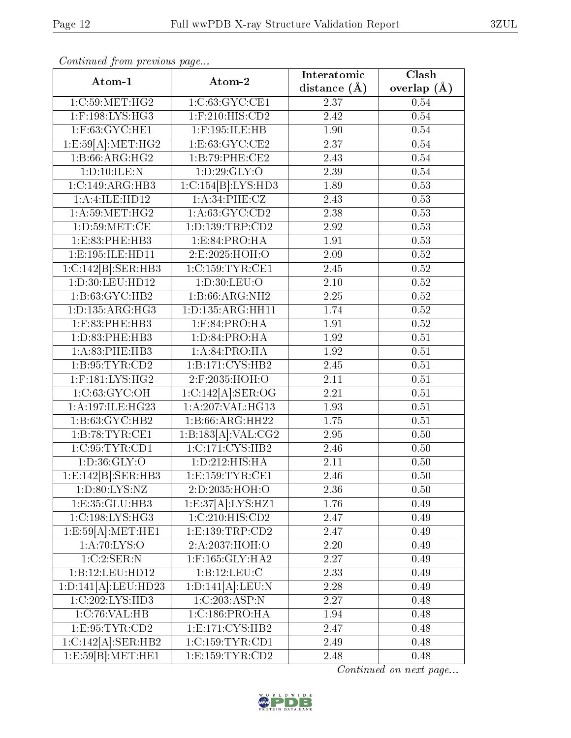| Atom-1                       | Atom-2                     | Interatomic       | Clash         |
|------------------------------|----------------------------|-------------------|---------------|
|                              |                            | distance $(\AA)$  | overlap $(A)$ |
| 1:C:59:MET:HG2               | 1:C:63:GYC:CE1             | 2.37              | 0.54          |
| $1:$ F:198:LYS:HG3           | 1:F:210:HIS:CD2            | 2.42              | $0.54\,$      |
| 1:F:63:GYC:HE1               | $1:$ F:195:ILE:HB          | 1.90              | $0.54\,$      |
| 1:E:59[A]: MET:HG2           | 1:E:63:GYC:CE2             | 2.37              | $0.54\,$      |
| 1:B:66:ARG:HG2               | 1:B:79:PHE:CE2             | 2.43              | 0.54          |
| 1:D:10:ILE:N                 | 1: D:29: GLY:O             | 2.39              | $0.54\,$      |
| 1:C:149:ARG:HB3              | 1:C:154[B]:LYS:HD3         | 1.89              | 0.53          |
| 1:A:4:ILE:HD12               | 1:A:34:PHE:CZ              | 2.43              | 0.53          |
| 1: A:59:MET:HG2              | 1: A:63: GYC:CD2           | 2.38              | 0.53          |
| 1: D:59:MET:CE               | 1: D: 139: TRP: CD2        | 2.92              | 0.53          |
| 1:E:83:PHE:HB3               | 1: E:84: PRO:HA            | 1.91              | 0.53          |
| 1: E: 195: ILE: HD11         | 2:E:2025:HOH:O             | 2.09              | $0.52\,$      |
| 1:C:142[B]:SER:HB3           | 1:C:159:TYR:CE1            | 2.45              | $0.52\,$      |
| 1:D:30:LEU:HD12              | 1: D:30: LEU:O             | $\overline{2.10}$ | 0.52          |
| 1:B:63:GYC:HB2               | 1:B:66:ARG:NH2             | 2.25              | 0.52          |
| 1: D: 135: ARG: HG3          | 1:D:135:ARG:HH11           | 1.74              | 0.52          |
| 1:F:83:PHE:HB3               | $1:$ F:84:PRO:HA           | 1.91              | $0.52\,$      |
| 1:D:83:PHE:HB3               | 1: D:84: PRO:HA            | 1.92              | $0.51\,$      |
| 1: A:83: PHE:HB3             | 1: A:84: PRO:HA            | 1.92              | 0.51          |
| 1: B: 95: TYR: CD2           | 1:B:171:CYS:HB2            | 2.45              | 0.51          |
| $1:$ F:181:LYS:HG2           | 2:F:2035:HOH:O             | 2.11              | 0.51          |
| 1:C:63:GVC:OH                | $1:C:142[A].\text{SER:OG}$ | 2.21              | 0.51          |
| 1:A:197:ILE:HG23             | 1:A:207:VAL:HG13           | 1.93              | 0.51          |
| 1:B:63:GYC:HB2               | 1:B:66:ARG:HH22            | 1.75              | 0.51          |
| 1:B:78:TYR:CE1               | 1:B:183[A]:VAL:CG2         | 2.95              | 0.50          |
| 1:C:95:TYR:CD1               | 1:C:171:CYS:HB2            | 2.46              | 0.50          |
| 1: D:36: GLY:O               | 1:D:212:HIS:HA             | 2.11              | 0.50          |
| 1:E:142[B]:SER:HB3           | 1:E:159:TYR:CE1            | 2.46              | 0.50          |
| 1: D:80: LYS: NZ             | 2:D:2035:HOH:O             | 2.36              | 0.50          |
| 1: E: 35: GLU: HB3           | 1: E:37[A]: LYS: HZ1       | 1.76              | 0.49          |
| 1:C:198:LYS:HG3              | 1:C:210:HIS:CD2            | 2.47              | 0.49          |
| 1:E:59[A]: MET:HE1           | 1: E: 139: TRP: CD2        | 2.47              | 0.49          |
| 1: A:70: LYS:O               | 2:A:2037:HOH:O             | 2.20              | 0.49          |
| 1:C:2:SER:N                  | $1:$ F:165:GLY:HA2         | 2.27              | 0.49          |
| 1:B:12:LEU:HD12              | 1:B:12:LEU:C               | 2.33              | 0.49          |
| 1:D:141[A]:LEU:HD23          | 1:D:141[A]:LEU:N           | 2.28              | 0.49          |
| $1:C:202:LYS:\overline{HD3}$ | 1:C:203:ASP:N              | 2.27              | 0.48          |
| 1:C:76:VAL:HB                | 1:C:186:PRO:HA             | 1.94              | 0.48          |
| 1:E:95:TYR:CD2               | 1: E: 171: CYS: HB2        | 2.47              | 0.48          |
| 1:C:142[A].SER:HB2           | 1:C:159:TYR:CD1            | 2.49              | 0.48          |
| 1: E:59[B]: MET:HE1          | 1: E: 159: TYR: CD2        | 2.48              | 0.48          |

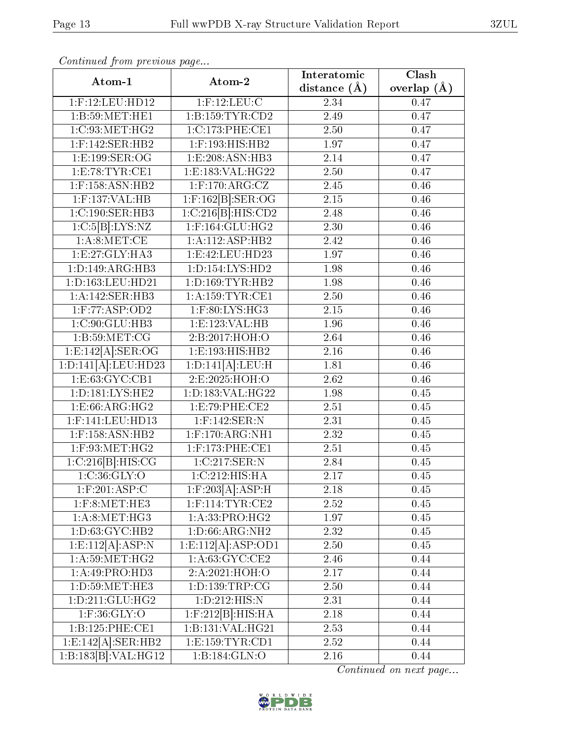| Atom-1                          | Atom-2                            | Interatomic    | $\overline{\text{Clash}}$ |
|---------------------------------|-----------------------------------|----------------|---------------------------|
|                                 |                                   | distance $(A)$ | overlap $(A)$             |
| 1:F:12:LEU:HD12                 | $1:$ F:12:LEU:C                   | 2.34           | 0.47                      |
| 1:B:59:MET:HE1                  | 1:B:159:TYR:CD2                   | 2.49           | 0.47                      |
| 1:C:93:NET:HG2                  | 1:C:173:PHE:CE1                   | 2.50           | 0.47                      |
| $1:$ F:142:SER:HB2              | 1:F:193:HIS:HB2                   | 1.97           | 0.47                      |
| 1:E:199:SER:OG                  | 1:E:208:ASN:HB3                   | 2.14           | 0.47                      |
| 1:E:78:TYR:CE1                  | 1:E:183:VAL:HG22                  | 2.50           | 0.47                      |
| $1:$ F:158:ASN:HB2              | $1:$ F:170:ARG:CZ                 | 2.45           | 0.46                      |
| $1:$ F:137:VAL:HB               | $1:$ F:162 $[B]$ :SER:OG          | $2.15\,$       | 0.46                      |
| 1:C:190:SER:HB3                 | 1:C:216[B]:HIS:CD2                | 2.48           | 0.46                      |
| 1:C:5[B]:LYS:NZ                 | 1:F:164:GLU:HG2                   | 2.30           | 0.46                      |
| 1: A:8: MET:CE                  | 1:A:112:ASP:HB2                   | 2.42           | 0.46                      |
| 1: E: 27: GLY: HA3              | 1: E: 42: LEU: HD23               | 1.97           | 0.46                      |
| 1: D: 149: ARG: HB3             | 1: D: 154: LYS: HD2               | 1.98           | 0.46                      |
| 1:D:163:LEU:HD21                | 1: D: 169: TYR: HB2               | 1.98           | 0.46                      |
| 1:A:142:SER:HB3                 | 1: A:159: TYR: CE1                | 2.50           | 0.46                      |
| 1:F:77:ASP:OD2                  | $1:$ F:80:LYS:HG3                 | $2.15\,$       | 0.46                      |
| 1:C:90:GLU:HB3                  | 1:E:123:VAL:HB                    | 1.96           | 0.46                      |
| 1: B:59:MET:CG                  | 2:B:2017:HOH:O                    | 2.64           | 0.46                      |
| $1: E: 142[A].$ SER:OG          | 1:E:193:HIS:HB2                   | 2.16           | 0.46                      |
| 1:D:141[A].LEU:HD23             | 1:D:141[A]:LEU:H                  | 1.81           | 0.46                      |
| 1: E: 63: GYC: CB1              | 2:E:2025:HOH:O                    | 2.62           | 0.46                      |
| 1:D:181:LYS:HE2                 | 1:D:183:VAL:HG22                  | 1.98           | 0.45                      |
| 1:E:66:ARG:HG2                  | 1:E:79:PHE:CE2                    | 2.51           | 0.45                      |
| 1:F:141:LEU:HD13                | 1:F:142:SER:N                     | 2.31           | 0.45                      |
| $1:$ F:158:ASN:HB2              | $1:$ F:170:ARG:NH1                | 2.32           | 0.45                      |
| $1:$ F:93:MET:HG2               | 1:F:173:PHE:CE1                   | 2.51           | 0.45                      |
| 1:C:216[B]:HIS:CG               | $1:C:217:\overline{\text{SER}:N}$ | 2.84           | 0.45                      |
| 1:C:36:GLY:O                    | 1:C:212:HIS:HA                    | 2.17           | 0.45                      |
| $1:$ F:201:ASP:C                | $1:$ F:203[A]:ASP:H               | 2.18           | 0.45                      |
| $1:$ F:8:MET:HE3                | $1:$ F:114:TYR:CE2                | 2.52           | 0.45                      |
| 1: A:8: MET:HG3                 | 1:A:33:PRO:HG2                    | 1.97           | 0.45                      |
| 1: D:63: GYC:HB2                | 1: D:66: ARG: NH2                 | 2.32           | 0.45                      |
| 1: E: 112[A]: ASP: N            | 1:E:112[A].ASP:OD1                | 2.50           | 0.45                      |
| 1: A:59: MET:HG2                | 1:A:63:GYC:CE2                    | 2.46           | 0.44                      |
| 1:A:49:PRO:HD3                  | 2:A:2021:HOH:O                    | 2.17           | 0.44                      |
| 1: D: 59: MET: HE3              | 1:D:139:TRP:CG                    | 2.50           | 0.44                      |
| 1: D:211: GLU: HG2              | 1:D:212:HIS:N                     | 2.31           | 0.44                      |
| $1:$ F:36:GLY:O                 | $1:$ F:212 $ B :$ HIS:HA          | 2.18           | 0.44                      |
| 1:B:125:PHE:CE1                 | 1:B:131:VAL:HG21                  | 2.53           | 0.44                      |
| 1:E:142[A]:SER:HB2              | 1: E: 159: TYR: CD1               | 2.52           | 0.44                      |
| 1:B:183[B]:VAL:H <sub>G12</sub> | 1:B:184:GLN:O                     | 2.16           | 0.44                      |

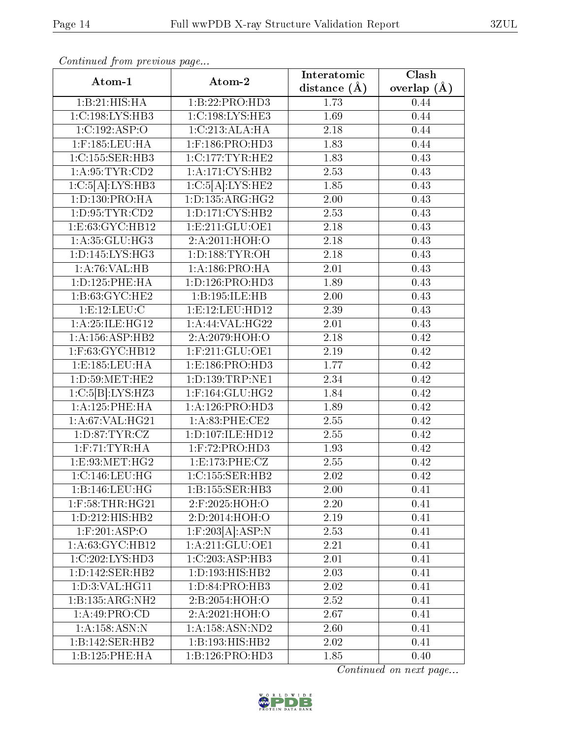| Atom-1                      | Atom-2                         | Interatomic      | Clash         |  |
|-----------------------------|--------------------------------|------------------|---------------|--|
|                             |                                | distance $(\AA)$ | overlap $(A)$ |  |
| 1:B:21:HIS:HA               | 1:B:22:PRO:HD3                 | 1.73             | 0.44          |  |
| 1:C:198:LYS:HB3             | 1:C:198:LYS:HE3                | 1.69             | 0.44          |  |
| 1:C:192:ASP:O               | 1:C:213:ALA:HA                 | 2.18             | 0.44          |  |
| $1:$ F:185:LEU:HA           | 1:F:186:PRO:HD3                | 1.83             | 0.44          |  |
| 1:C:155:SER:HB3             | 1:C:177:TYR:HE2                | 1.83             | 0.43          |  |
| 1: A:95:TYR:CD2             | 1:A:171:CYS:HB2                | 2.53             | 0.43          |  |
| 1:C:5[A]:LYS:HB3            | 1:C:5[A]:LYS:HE2               | 1.85             | 0.43          |  |
| 1:D:130:PRO:HA              | 1:D:135:ARG:HG2                | 2.00             | 0.43          |  |
| 1: D: 95: TYR: CD2          | 1: D: 171: CYS: HB2            | 2.53             | 0.43          |  |
| 1: E: 63: GYC: HB12         | 1: E: 211: GLU: OE1            | 2.18             | 0.43          |  |
| $1:A:35:GLU:\overline{HG3}$ | 2:A:2011:HOH:O                 | 2.18             | 0.43          |  |
| 1:D:145:LYS:HG3             | 1: D: 188: TYR: OH             | 2.18             | 0.43          |  |
| 1: A:76: VAL:HB             | 1: A: 186: PRO: HA             | 2.01             | 0.43          |  |
| 1: D: 125: PHE: HA          | 1: D: 126: PRO: HD3            | 1.89             | 0.43          |  |
| 1: B:63: GYC:HE2            | 1:B:195:ILE:HB                 | 2.00             | 0.43          |  |
| 1:E:12:LEU:C                | 1:E:12:LEU:HD12                | 2.39             | 0.43          |  |
| 1:A:25:ILE:HG12             | 1: A:44: VAL:HG22              | 2.01             | 0.43          |  |
| 1: A: 156: ASP: HB2         | 2:A:2079:HOH:O                 | 2.18             | 0.42          |  |
| $1:$ F:63:GYC:HB $12$       | $1:$ F:211:GLU:OE1             | 2.19             | 0.42          |  |
| 1:E:185:LEU:HA              | 1: E: 186: PRO:H <sub>D3</sub> | 1.77             | 0.42          |  |
| 1: D:59: MET:HE2            | 1:D:139:TRP:NE1                | 2.34             | 0.42          |  |
| 1:C:5[B]:LYS:HZ3            | 1:F:164:GLU:HG2                | 1.84             | 0.42          |  |
| 1:A:125:PHE:HA              | 1: A:126: PRO:HD3              | 1.89             | 0.42          |  |
| 1:A:67:VAL:HG21             | 1:A:83:PHE:CE2                 | 2.55             | 0.42          |  |
| 1: D:87: TYR: CZ            | 1:D:107:ILE:HD12               | 2.55             | 0.42          |  |
| $1:$ F:71:TYR:HA            | $1:$ F:72:PRO:HD3              | 1.93             | 0.42          |  |
| 1:E:93:MET:HG2              | 1:E:173:PHE:CZ                 | 2.55             | 0.42          |  |
| 1:C:146:LEU:HG              | 1:C:155:SER:HB2                | 2.02             | 0.42          |  |
| 1:B:146:LEU:HG              | 1:B:155:SER:HB3                | 2.00             | 0.41          |  |
| $1:$ F:58:THR:HG21          | 2:F:2025:HOH:O                 | 2.20             | 0.41          |  |
| 1: D: 212: HIS: HB2         | 2:D:2014:HOH:O                 | 2.19             | 0.41          |  |
| $1:$ F:201:ASP:O            | $1:$ F:203[A]:ASP:N            | 2.53             | 0.41          |  |
| 1:A:63:GYC:HB12             | 1: A:211: GLU:OE1              | 2.21             | 0.41          |  |
| 1:C:202:LYS:HD3             | 1:C:203:ASP:HB3                | 2.01             | 0.41          |  |
| 1: D: 142: SER: HB2         | 1: D: 193: HIS: HB2            | 2.03             | 0.41          |  |
| 1:D:3:VAL:HG11              | 1: D:84: PRO:HB3               | 2.02             | 0.41          |  |
| 1:B:135:ARG:NH2             | 2:B:2054:HOH:O                 | 2.52             | 0.41          |  |
| 1: A:49: PRO:CD             | 2:A:2021:HOH:O                 | 2.67             | 0.41          |  |
| $1:A:158:ASN:\overline{N}$  | 1: A: 158: ASN: ND2            | 2.60             | 0.41          |  |
| 1:B:142:SER:HB2             | 1:B:193:HIS:HB2                | 2.02             | 0.41          |  |
| 1:B:125:PHE:HA              | 1:B:126:PRO:HD3                | 1.85             | 0.40          |  |

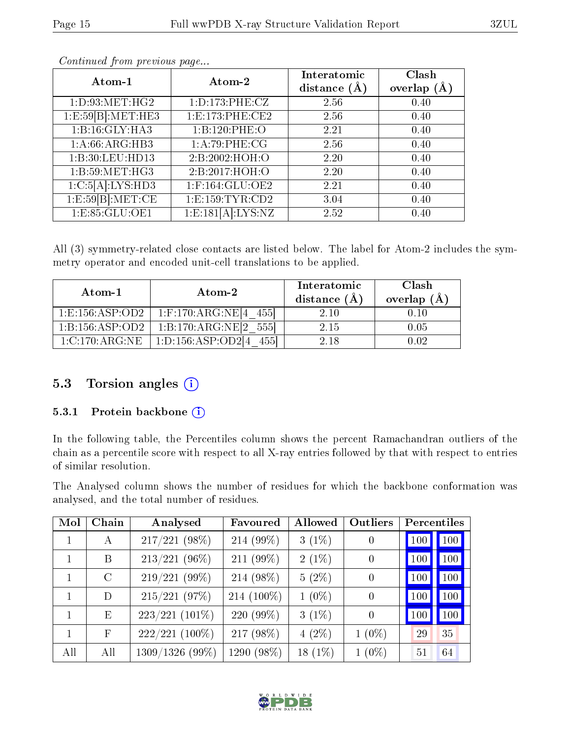| Atom-1             | Atom-2                | Interatomic<br>distance $(\AA)$ | Clash<br>overlap $(A)$ |
|--------------------|-----------------------|---------------------------------|------------------------|
| 1: D:93:MET:HG2    | 1: D: 173: PHE: CZ    | 2.56                            | 0.40                   |
| 1:E:59[B]: MET:HE3 | 1:E:173:PHE:CE2       | 2.56                            | 0.40                   |
| 1:Bi:16:GLY:HA3    | 1:B:120:PHE:O         | 2.21                            | 0.40                   |
| 1: A:66: ARG:HB3   | 1:A:79:PHE:CG         | 2.56                            | 0.40                   |
| 1:B:30:LEU:HD13    | 2:B:2002:HOH:O        | 2.20                            | 0.40                   |
| 1:B:59:MET:HG3     | 2:B:2017:HOH:O        | 2.20                            | 0.40                   |
| 1:C:5[A]:LYS:HD3   | $1:$ F:164:GLU:OE2    | 2.21                            | 0.40                   |
| 1: E:59[B]: MET:CE | 1: E: 159: TYR: CD2   | 3.04                            | 0.40                   |
| 1: E: 85: GLU: OE1 | 1: E: 181[A]: LYS: NZ | 2.52                            | 0.40                   |

All (3) symmetry-related close contacts are listed below. The label for Atom-2 includes the symmetry operator and encoded unit-cell translations to be applied.

| Atom-1              | Atom-2                              | Interatomic<br>distance $(A)$ | Clash<br>overlap $(\AA)$ |
|---------------------|-------------------------------------|-------------------------------|--------------------------|
| 1: E: 156: ASP: OD2 | 1:F:170:ARG:NE[4 $4\overline{55}$ ] | 2 10                          | 0.10                     |
| 1:B:156:ASP:OD2     | 1:B:170:ARG:NE[2 555]               | 2.15                          | 0.05                     |
| 1:C:170:ARG:NE      | 1:D:156:ASP:OD2[4<br>4551           | 2.18                          | O O2                     |

### 5.3 Torsion angles (i)

#### 5.3.1 Protein backbone (i)

In the following table, the Percentiles column shows the percent Ramachandran outliers of the chain as a percentile score with respect to all X-ray entries followed by that with respect to entries of similar resolution.

The Analysed column shows the number of residues for which the backbone conformation was analysed, and the total number of residues.

| Mol | Chain      | Analysed         | Favoured   | Allowed    | Outliers       |     | Percentiles |
|-----|------------|------------------|------------|------------|----------------|-----|-------------|
|     | A          | $217/221$ (98%)  | 214 (99%)  | $3(1\%)$   | $\overline{0}$ | 100 | 100         |
|     | B          | $213/221$ (96%)  | 211 (99%)  | $2(1\%)$   | $\theta$       | 100 | 100         |
| 1   | $\rm C$    | 219/221 (99%)    | 214 (98%)  | $5(2\%)$   | $\theta$       | 100 | 100         |
| 1   | D          | $215/221$ (97%)  | 214 (100%) | $1(0\%)$   | $\theta$       | 100 | 100         |
| 1   | Ε          | $223/221$ (101%) | 220 (99%)  | $3(1\%)$   | $\theta$       | 100 | 100         |
|     | $_{\rm F}$ | $222/221$ (100%) | 217 (98%)  | $4(2\%)$   | $1(0\%)$       | 29  | 35          |
| All | All        | 1309/1326 (99%)  | 1290 (98%) | 18 $(1\%)$ | $1(0\%)$       | 51  | 64          |

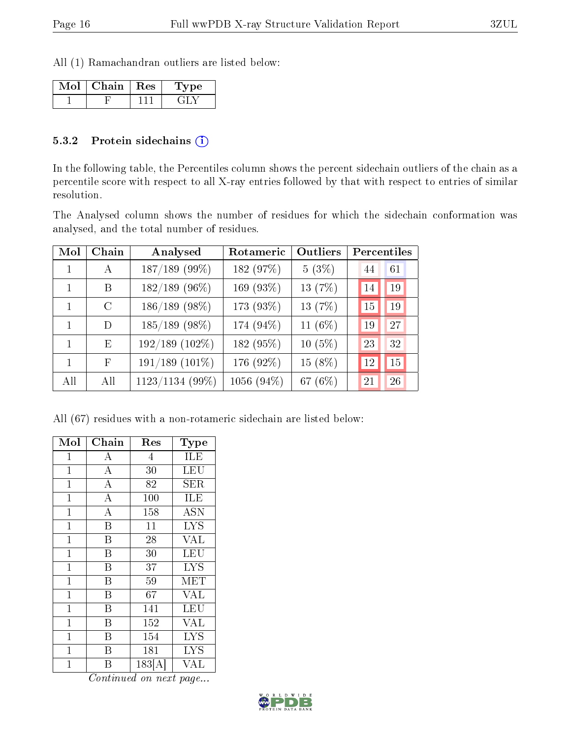All (1) Ramachandran outliers are listed below:

| Chain | ∣ Res | ype |
|-------|-------|-----|
|       |       |     |

#### 5.3.2 Protein sidechains (i)

In the following table, the Percentiles column shows the percent sidechain outliers of the chain as a percentile score with respect to all X-ray entries followed by that with respect to entries of similar resolution.

The Analysed column shows the number of residues for which the sidechain conformation was analysed, and the total number of residues.

| Mol | Chain         | Analysed            | Rotameric  | Outliers  | Percentiles |    |
|-----|---------------|---------------------|------------|-----------|-------------|----|
|     | А             | 187/189 (99%)       | 182 (97%)  | $5(3\%)$  | 44          | 61 |
|     | B             | $182/189$ (96%)     | 169 (93%)  | 13 (7%)   | 14          | 19 |
| 1   | $\mathcal{C}$ | 186/189 (98%)       | 173 (93%)  | 13 (7%)   | 15          | 19 |
| 1   | D             | $185/189$ (98%)     | 174 (94%)  | 11 (6%)   | 19          | 27 |
| 1   | Ε             | $192/189$ $(102\%)$ | 182 (95%)  | $10(5\%)$ | 23          | 32 |
| 1   | F             | $191/189$ $(101\%)$ | 176 (92%)  | 15 (8%)   | 12          | 15 |
| All | All           | 1123/1134 (99%)     | 1056 (94%) | 67 (6%)   | 21          | 26 |

All (67) residues with a non-rotameric sidechain are listed below:

| Mol            | ${\rm Chain}$    | Res    | Type       |
|----------------|------------------|--------|------------|
| 1              | А                | 4      | ILE        |
| $\mathbf 1$    | $\overline{A}$   | 30     | <b>LEU</b> |
| $\mathbf 1$    | $\overline{A}$   | 82     | SER.       |
| $\mathbf{1}$   | $\boldsymbol{A}$ | 100    | ILE        |
| $\mathbf{1}$   | $\bf{A}$         | 158    | <b>ASN</b> |
| $\overline{1}$ | B                | 11     | LYS        |
| $\overline{1}$ | Β                | 28     | <b>VAL</b> |
| $\mathbf{1}$   | Β                | 30     | LEU        |
| $\mathbf{1}$   | B                | 37     | <b>LYS</b> |
| $\mathbf 1$    | Β                | 59     | <b>MET</b> |
| $\mathbf{1}$   | B                | 67     | <b>VAL</b> |
| $\overline{1}$ | B                | 141    | LEU        |
| 1              | B                | 152    | <b>VAL</b> |
| $\mathbf 1$    | Β                | 154    | <b>LYS</b> |
| $\mathbf 1$    | B                | 181    | <b>LYS</b> |
| 1              | В                | 183[A] | VAL        |

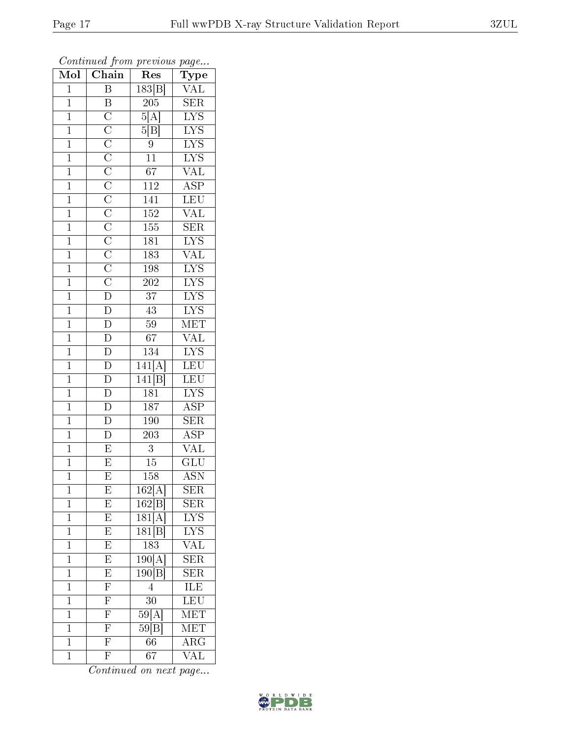| Mol            | $\overline{\text{Chain}}$                                                                                                                                                                                                                                                                                           | Res                          | Type                                       |
|----------------|---------------------------------------------------------------------------------------------------------------------------------------------------------------------------------------------------------------------------------------------------------------------------------------------------------------------|------------------------------|--------------------------------------------|
| $\mathbf{1}$   | $\overline{\mathbf{B}}$                                                                                                                                                                                                                                                                                             | 183 B                        | $\overline{\text{VAL}}$                    |
| $\mathbf{1}$   | $\boldsymbol{B}$                                                                                                                                                                                                                                                                                                    | 205                          | $\overline{\text{SER}}$                    |
| $\mathbf{1}$   |                                                                                                                                                                                                                                                                                                                     | $5\overline{[{\rm A}]}$      | $\overline{\text{LYS}}$                    |
| $\mathbf{1}$   |                                                                                                                                                                                                                                                                                                                     | $\overline{5 {\rm B}}]$      | $\overline{\text{LYS}}$                    |
| $\overline{1}$ |                                                                                                                                                                                                                                                                                                                     | $\overline{9}$               | $\overline{\text{LYS}}$                    |
| $\mathbf{1}$   |                                                                                                                                                                                                                                                                                                                     | $\overline{11}$              | $\overline{\text{LYS}}$                    |
| $\overline{1}$ |                                                                                                                                                                                                                                                                                                                     | $\overline{67}$              | $\overline{\text{VAL}}$                    |
| $\mathbf{1}$   |                                                                                                                                                                                                                                                                                                                     | 112                          | $\overline{\text{ASP}}$                    |
| $\mathbf{1}$   |                                                                                                                                                                                                                                                                                                                     | 141                          | $\overline{\text{LEU}}$                    |
| $\mathbf{1}$   |                                                                                                                                                                                                                                                                                                                     | 152                          | $\overline{\text{VAL}}$                    |
| $\mathbf{1}$   |                                                                                                                                                                                                                                                                                                                     | 155                          | $\overline{\text{SER}}$                    |
| $\overline{1}$ |                                                                                                                                                                                                                                                                                                                     | 181                          |                                            |
| $\mathbf{1}$   |                                                                                                                                                                                                                                                                                                                     | 183                          | LYS<br>VAL                                 |
| $\mathbf{1}$   |                                                                                                                                                                                                                                                                                                                     | 198                          | $\frac{\overline{\text{LYS}}}{\text{LYS}}$ |
| $\overline{1}$ | $\overline{\text{C}}$ $\overline{\text{C}}$ $\overline{\text{C}}$ $\overline{\text{C}}$ $\overline{\text{C}}$ $\overline{\text{C}}$ $\overline{\text{C}}$ $\overline{\text{C}}$ $\overline{\text{C}}$ $\overline{\text{C}}$ $\overline{\text{C}}$ $\overline{\text{C}}$ $\overline{\text{C}}$ $\overline{\text{D}}$ | $\overline{202}$             |                                            |
| $\mathbf{1}$   |                                                                                                                                                                                                                                                                                                                     | $\overline{37}$              | <b>LYS</b>                                 |
| $\overline{1}$ | $\frac{\overline{D}}{D}$                                                                                                                                                                                                                                                                                            | $\overline{43}$              | $\overline{\text{LYS}}$                    |
| $\mathbf{1}$   |                                                                                                                                                                                                                                                                                                                     | 59                           | MET                                        |
| $\mathbf 1$    | $\overline{\rm D}$                                                                                                                                                                                                                                                                                                  | 67                           | $\rm \sqrt{AL}$                            |
| $\mathbf{1}$   | $\overline{\rm D}$                                                                                                                                                                                                                                                                                                  | 134                          | $\overline{\text{LYS}}$                    |
| $\overline{1}$ | $\overline{D}$                                                                                                                                                                                                                                                                                                      | 141[A]                       | $\overline{\text{LEU}}$                    |
| $\overline{1}$ | $\overline{\rm D}$                                                                                                                                                                                                                                                                                                  | 141[B]                       | $\overline{\text{LEU}}$                    |
| $\mathbf{1}$   | $\frac{\overline{D}}{\overline{D}}$                                                                                                                                                                                                                                                                                 | 181                          | IYS                                        |
| $\overline{1}$ |                                                                                                                                                                                                                                                                                                                     | 187                          | $\overline{\text{ASP}}$                    |
| $\mathbf{1}$   | $\overline{D}$                                                                                                                                                                                                                                                                                                      | 190                          | $\overline{\text{SER}}$                    |
| $\mathbf{1}$   | $\overline{D}$                                                                                                                                                                                                                                                                                                      | 203                          | $\overline{\text{ASP}}$                    |
| $\mathbf{1}$   | $\overline{E}$                                                                                                                                                                                                                                                                                                      | $\overline{3}$               | $\overline{\text{VAL}}$                    |
| $\mathbf{1}$   | $\overline{E}$                                                                                                                                                                                                                                                                                                      | 15                           | GLU                                        |
| $\mathbf 1$    | $\overline{\mathrm{E}}$                                                                                                                                                                                                                                                                                             | 158                          | $\overline{\mathrm{ASN}}$                  |
| 1              | E                                                                                                                                                                                                                                                                                                                   | 162[A]                       | $\rm{SER}$                                 |
| $\mathbf 1$    | E                                                                                                                                                                                                                                                                                                                   | 162[B]                       | $\rm{SER}$                                 |
| $\mathbf 1$    | $\frac{\overline{E}}{E}$                                                                                                                                                                                                                                                                                            | 181[A]                       | $\overline{\text{LYS}}$                    |
| $\mathbf{1}$   |                                                                                                                                                                                                                                                                                                                     | $\overline{18}1[\mathrm{B}]$ | LYS<br>VAL                                 |
| $\mathbf{1}$   | $\overline{E}$                                                                                                                                                                                                                                                                                                      | 183                          |                                            |
| $\mathbf 1$    | $\overline{E}$                                                                                                                                                                                                                                                                                                      | $\overline{190[A]}$          | <b>SER</b>                                 |
| $\overline{1}$ | $\overline{E}$                                                                                                                                                                                                                                                                                                      | 190[B]                       | $\overline{\text{SER}}$                    |
| $\mathbf{1}$   | $\overline{\mathrm{F}}$                                                                                                                                                                                                                                                                                             | $\overline{4}$               | ILE                                        |
| $\mathbf 1$    | $\overline{\mathrm{F}}$                                                                                                                                                                                                                                                                                             | 30                           | $\overline{\text{LEU}}$                    |
| $\mathbf{1}$   | $\overline{F}$                                                                                                                                                                                                                                                                                                      | $59[\bar{\rm A}]$            | $\widetilde{\text{NET}}$                   |
| $\mathbf{1}$   | $\frac{\overline{F}}{\overline{F}}$                                                                                                                                                                                                                                                                                 | 59[B]                        | $\overline{\text{MET}}$                    |
| $\overline{1}$ |                                                                                                                                                                                                                                                                                                                     | $6\overline{6}$              | $\overline{\text{ARG}}$                    |
| $\mathbf{1}$   | $\overline{\mathrm{F}}$                                                                                                                                                                                                                                                                                             | 67                           | VAL                                        |

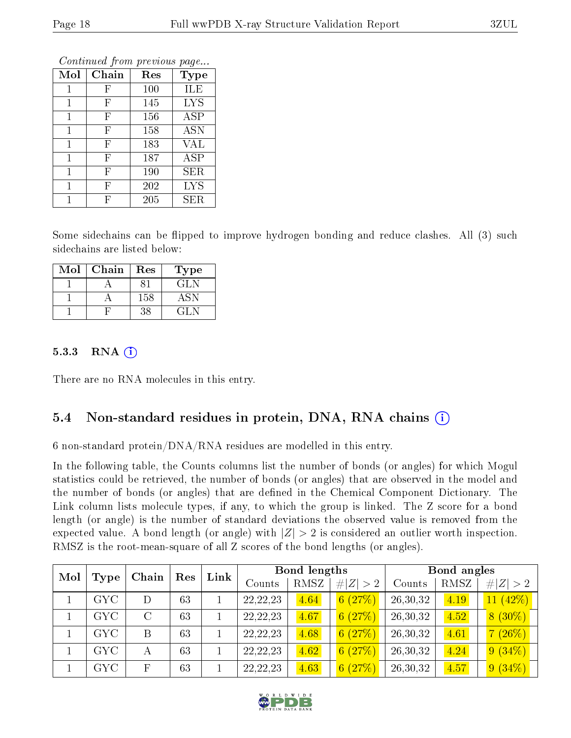|              | оонынаса јют ртоново раде |     |             |
|--------------|---------------------------|-----|-------------|
| Mol          | Chain                     | Res | <b>Type</b> |
| 1            | F                         | 100 | ILE         |
| 1            | F                         | 145 | <b>LYS</b>  |
| 1            | F                         | 156 | <b>ASP</b>  |
| 1            | $\boldsymbol{\mathrm{F}}$ | 158 | <b>ASN</b>  |
| 1            | F                         | 183 | VAL         |
| $\mathbf{1}$ | $\boldsymbol{\mathrm{F}}$ | 187 | <b>ASP</b>  |
| 1            | F                         | 190 | SER         |
| 1            | F                         | 202 | <b>LYS</b>  |
|              | F                         | 205 | ${\rm SER}$ |

Some sidechains can be flipped to improve hydrogen bonding and reduce clashes. All (3) such sidechains are listed below:

| Mol | Chain | Res | Type   |
|-----|-------|-----|--------|
|     |       |     | GL N   |
|     |       | 158 | ASN    |
|     |       | 38  | 44 L.N |

#### 5.3.3 RNA [O](https://www.wwpdb.org/validation/2017/XrayValidationReportHelp#rna)i

There are no RNA molecules in this entry.

### 5.4 Non-standard residues in protein, DNA, RNA chains (i)

6 non-standard protein/DNA/RNA residues are modelled in this entry.

In the following table, the Counts columns list the number of bonds (or angles) for which Mogul statistics could be retrieved, the number of bonds (or angles) that are observed in the model and the number of bonds (or angles) that are defined in the Chemical Component Dictionary. The Link column lists molecule types, if any, to which the group is linked. The Z score for a bond length (or angle) is the number of standard deviations the observed value is removed from the expected value. A bond length (or angle) with  $|Z| > 2$  is considered an outlier worth inspection. RMSZ is the root-mean-square of all Z scores of the bond lengths (or angles).

| Mol |            | Chain                     | Res | Link |            | Bond lengths |             |          | Bond angles |             |
|-----|------------|---------------------------|-----|------|------------|--------------|-------------|----------|-------------|-------------|
|     | Type       |                           |     |      | Counts     | RMSZ         | # $ Z  > 2$ | Counts   | RMSZ        | # $ Z  > 2$ |
|     | GYC.       | D                         | 63  |      | 22, 22, 23 | 4.64         | 6(27%)      | 26,30,32 | 4.19        | $11(42\%)$  |
|     | <b>GYC</b> | $\rm C$                   | 63  |      | 22, 22, 23 | 4.67         | 6(27%)      | 26,30,32 | 4.52        | $8(30\%)$   |
|     | GYC        | B                         | 63  |      | 22, 22, 23 | 4.68         | 6(27%)      | 26,30,32 | 4.61        | (26%)<br>7  |
|     | <b>GYC</b> | А                         | 63  |      | 22, 22, 23 | 4.62         | 6(27%)      | 26,30,32 | 4.24        | $9(34\%)$   |
|     | GYC        | $\boldsymbol{\mathrm{F}}$ | 63  |      | 22, 22, 23 | 4.63         | 6(27%)      | 26,30,32 | 4.57        | 9(34%)      |

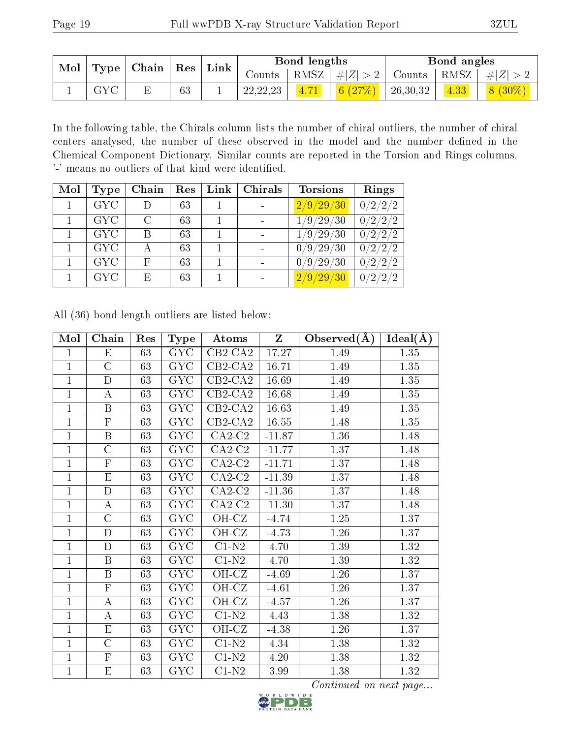| Mol $\vert$ Type $\vert$ | Chain |    | $\mid {\rm{Res}} \mid {\rm{Link}}$ | Bond lengths |  |                    | Bond angles    |      |                     |
|--------------------------|-------|----|------------------------------------|--------------|--|--------------------|----------------|------|---------------------|
|                          |       |    |                                    | Counts       |  | RMSZ   $\# Z  > 2$ | $\perp$ Counts |      | $ RMSZ  \#  Z  > 2$ |
| <b>GYC</b>               |       | 63 |                                    | 22, 22, 23   |  | 6 $(27%)$          | 26,30,32       | 4.33 | $8(30\%)$           |

In the following table, the Chirals column lists the number of chiral outliers, the number of chiral centers analysed, the number of these observed in the model and the number defined in the Chemical Component Dictionary. Similar counts are reported in the Torsion and Rings columns. '-' means no outliers of that kind were identified.

| Mol | Type       | Chain                       | Res | Link | Chirals | <b>Torsions</b>                                | Rings                  |
|-----|------------|-----------------------------|-----|------|---------|------------------------------------------------|------------------------|
|     | <b>GYC</b> | D                           | 63  |      |         | 2/9/29/30                                      | 0/2/2/2                |
|     | <b>GYC</b> | $\mathcal{C}_{\mathcal{C}}$ | 63  |      |         | $^{\prime}29$<br>'30<br>9/                     | 0/2/2/2                |
|     | <b>GYC</b> | В                           | 63  |      |         | 29<br>$^{\prime}30$<br>$^{\prime}9$ /          | 0/2/2/2                |
|     | <b>GYC</b> |                             | 63  |      |         | $^{\prime}30$<br>$^\prime9/29$ ,               | 0/2/2/2                |
|     | <b>GYC</b> | F                           | 63  |      |         | $^{\prime}29$ ,<br>'30<br>$^{\prime}9$ /<br>0/ | 0/2/<br>$^{\prime}2/2$ |
|     | <b>GYC</b> | Ε                           | 63  |      |         | 2/9/29<br>$^{\prime}30$                        | 0/2/2/2                |

All (36) bond length outliers are listed below:

| Mol            | Chain                   | Res | Type                    | Atoms                        | $\mathbf{Z}$ | Observed $(A)$ | $Ideal(\overline{A})$ |
|----------------|-------------------------|-----|-------------------------|------------------------------|--------------|----------------|-----------------------|
| $\mathbf{1}$   | E                       | 63  | <b>GYC</b>              | $\overline{\text{CB2-C}}$ A2 | 17.27        | 1.49           | 1.35                  |
| $\mathbf{1}$   | $\overline{C}$          | 63  | <b>GYC</b>              | $CB2-CA2$                    | 16.71        | 1.49           | 1.35                  |
| $\overline{1}$ | $\mathbf D$             | 63  | GYC                     | $CB2-CA2$                    | 16.69        | 1.49           | 1.35                  |
| $\mathbf{1}$   | $\boldsymbol{A}$        | 63  | <b>GYC</b>              | $CB2-CA2$                    | 16.68        | 1.49           | 1.35                  |
| $\mathbf{1}$   | $\boldsymbol{B}$        | 63  | GYC                     | $CB2-CA2$                    | 16.63        | 1.49           | 1.35                  |
| $\mathbf{1}$   | $\overline{F}$          | 63  | <b>GYC</b>              | $\overline{\text{CB2-CA2}}$  | 16.55        | 1.48           | 1.35                  |
| $\mathbf{1}$   | $\, {\bf B}$            | 63  | GYC                     | $CA2-C2$                     | $-11.87$     | 1.36           | 1.48                  |
| $\mathbf{1}$   | $\overline{\rm C}$      | 63  | GYC                     | $CA2-C2$                     | $-11.77$     | 1.37           | 1.48                  |
| $\mathbf{1}$   | $\overline{F}$          | 63  | GYC                     | $CA2-C2$                     | $-11.71$     | 1.37           | 1.48                  |
| $\mathbf{1}$   | $\mathbf{E}% _{0}$      | 63  | GYC                     | $CA2-C2$                     | $-11.39$     | 1.37           | 1.48                  |
| $\mathbf{1}$   | $\overline{D}$          | 63  | GYC                     | $CA2-C2$                     | $-11.36$     | 1.37           | 1.48                  |
| $\overline{1}$ | $\boldsymbol{A}$        | 63  | <b>GYC</b>              | $CA2-C2$                     | $-11.30$     | 1.37           | 1.48                  |
| $\mathbf{1}$   | $\overline{\rm C}$      | 63  | GYC                     | $\overline{\text{OH-CZ}}$    | $-4.74$      | 1.25           | 1.37                  |
| $\mathbf{1}$   | $\mathbf D$             | 63  | GYC                     | OH-CZ                        | $-4.73$      | 1.26           | 1.37                  |
| $\mathbf 1$    | $\overline{\rm D}$      | 63  | $\overline{\text{GYC}}$ | $\overline{C1-N2}$           | 4.70         | 1.39           | 1.32                  |
| $\overline{1}$ | $\, {\bf B}$            | 63  | GYC                     | $C1-N2$                      | 4.70         | 1.39           | 1.32                  |
| $\mathbf{1}$   | $\, {\bf B}$            | 63  | <b>GYC</b>              | OH-CZ                        | $-4.69$      | 1.26           | 1.37                  |
| $\mathbf{1}$   | $\overline{\mathrm{F}}$ | 63  | GYC                     | OH-CZ                        | $-4.61$      | 1.26           | 1.37                  |
| $\mathbf{1}$   | $\boldsymbol{A}$        | 63  | GYC                     | OH-CZ                        | $-4.57$      | $1.26\,$       | 1.37                  |
| $\overline{1}$ | А                       | 63  | GYC                     | $\overline{\text{C1-N2}}$    | 4.43         | 1.38           | 1.32                  |
| $\mathbf{1}$   | $\mathbf{E}% _{0}$      | 63  | <b>GYC</b>              | OH-CZ                        | $-4.38$      | 1.26           | 1.37                  |
| $\mathbf{1}$   | $\overline{\rm C}$      | 63  | GYC                     | $C1-N2$                      | 4.34         | 1.38           | 1.32                  |
| $\mathbf{1}$   | $\overline{\mathrm{F}}$ | 63  | <b>GYC</b>              | $C1-N2$                      | 4.20         | 1.38           | 1.32                  |
| $\mathbf{1}$   | $\mathbf{E}% _{0}$      | 63  | GYC                     | $\overline{C}1-N2$           | 3.99         | 1.38           | 1.32                  |

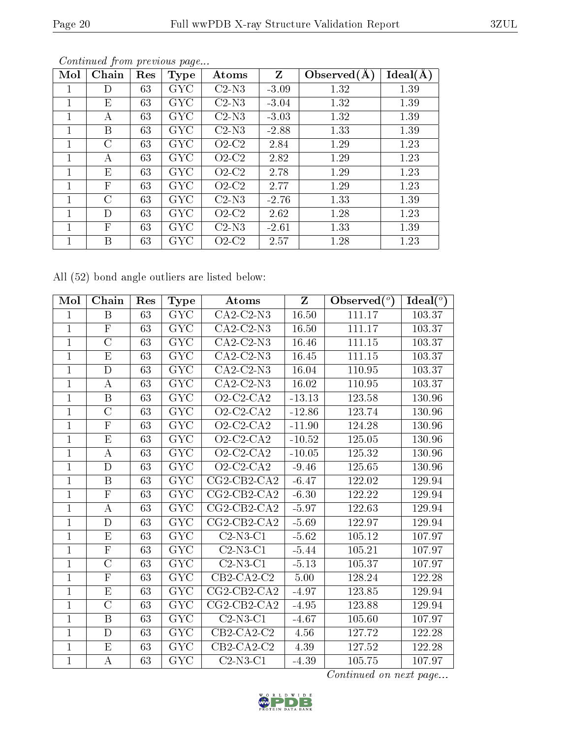| Mol | Chain        | Res | <b>Type</b> | Atoms   | $Z_{\rm}$ | Observed $(A)$ | Ideal(A) |
|-----|--------------|-----|-------------|---------|-----------|----------------|----------|
|     | D)           | 63  | <b>GYC</b>  | $C2-N3$ | $-3.09$   | 1.32           | 1.39     |
|     | Е            | 63  | <b>GYC</b>  | $C2-N3$ | $-3.04$   | 1.32           | 1.39     |
|     | А            | 63  | <b>GYC</b>  | $C2-N3$ | $-3.03$   | 1.32           | 1.39     |
|     | B            | 63  | <b>GYC</b>  | $C2-N3$ | $-2.88$   | 1.33           | 1.39     |
| 1   | $\rm C$      | 63  | <b>GYC</b>  | $O2-C2$ | 2.84      | 1.29           | 1.23     |
|     | А            | 63  | <b>GYC</b>  | $O2-C2$ | 2.82      | 1.29           | 1.23     |
|     | E            | 63  | <b>GYC</b>  | $O2-C2$ | 2.78      | 1.29           | 1.23     |
|     | $\mathbf{F}$ | 63  | GYC         | $O2-C2$ | 2.77      | 1.29           | 1.23     |
| 1   | $\bigcap$    | 63  | GYC         | $C2-N3$ | $-2.76$   | 1.33           | 1.39     |
|     | D            | 63  | <b>GYC</b>  | $O2-C2$ | 2.62      | 1.28           | 1.23     |
|     | F            | 63  | <b>GYC</b>  | $C2-N3$ | $-2.61$   | 1.33           | 1.39     |
|     | В            | 63  | GYC         | $O2-C2$ | 2.57      | 1.28           | 1.23     |

All (52) bond angle outliers are listed below:

| Mol            | Chain                   | Res             | <b>Type</b>             | Atoms                                  | Z        | Observed $(°)$ | Ideal $(°)$ |
|----------------|-------------------------|-----------------|-------------------------|----------------------------------------|----------|----------------|-------------|
| $\mathbf{1}$   | B                       | 63              | <b>GYC</b>              | $CA2-C2-N3$                            | 16.50    | 111.17         | 103.37      |
| $\mathbf{1}$   | $\overline{F}$          | 63              | <b>GYC</b>              | $CA2-C2-N3$                            | 16.50    | 111.17         | 103.37      |
| $\mathbf{1}$   | $\overline{C}$          | 63              | <b>GYC</b>              | $CA2-C2-N3$                            | 16.46    | 111.15         | 103.37      |
| $\overline{1}$ | $\overline{\mathrm{E}}$ | 63              | $\overline{\text{GYC}}$ | $CA2-C2-N3$                            | 16.45    | 111.15         | 103.37      |
| $\mathbf{1}$   | $\mathbf D$             | 63              | <b>GYC</b>              | $CA2-C2-N3$                            | 16.04    | 110.95         | 103.37      |
| $\overline{1}$ | $\boldsymbol{A}$        | 63              | $\overline{\text{GYC}}$ | $CA2-C2-N3$                            | 16.02    | 110.95         | 103.37      |
| $\mathbf 1$    | $\boldsymbol{B}$        | 63              | <b>GYC</b>              | $O2$ -C2-CA2                           | $-13.13$ | 123.58         | 130.96      |
| $\mathbf{1}$   | $\overline{C}$          | 63              | <b>GYC</b>              | $O2-C2-CA2$                            | $-12.86$ | 123.74         | 130.96      |
| $\mathbf{1}$   | $\mathbf{F}$            | 63              | <b>GYC</b>              | $O2$ -C <sub>2</sub> -C <sub>A</sub> 2 | $-11.90$ | 124.28         | 130.96      |
| $\mathbf{1}$   | $\mathbf{E}% _{0}$      | 63              | ${\rm GYC}$             | $O2$ -C2-CA2                           | $-10.52$ | 125.05         | 130.96      |
| $\mathbf{1}$   | А                       | 63              | $\overline{\text{GYC}}$ | $O2$ -C2-CA2                           | $-10.05$ | 125.32         | 130.96      |
| $\overline{1}$ | D                       | 63              | <b>GYC</b>              | $O2-C2-CA2$                            | $-9.46$  | 125.65         | 130.96      |
| $\mathbf{1}$   | $\boldsymbol{B}$        | 63              | $\overline{\text{GYC}}$ | $CG2-CB2-CA2$                          | $-6.47$  | 122.02         | 129.94      |
| $\mathbf{1}$   | $\mathbf{F}$            | 63              | <b>GYC</b>              | $CG2-CB2-CA2$                          | $-6.30$  | 122.22         | 129.94      |
| $\mathbf{1}$   | $\boldsymbol{A}$        | 63              | <b>GYC</b>              | $CG2-CB2-CA2$                          | $-5.97$  | 122.63         | 129.94      |
| $\overline{1}$ | D                       | 63              | $\overline{\text{GYC}}$ | $\overline{\text{CG2-CB2-CA2}}$        | $-5.69$  | 122.97         | 129.94      |
| $\mathbf{1}$   | E                       | 63              | <b>GYC</b>              | $C2-N3-C1$                             | $-5.62$  | 105.12         | 107.97      |
| $\mathbf{1}$   | $\overline{\mathrm{F}}$ | 63              | <b>GYC</b>              | $C2-N3-C1$                             | $-5.44$  | 105.21         | 107.97      |
| $\mathbf{1}$   | $\overline{C}$          | 63              | <b>GYC</b>              | $C2-N3-C1$                             | $-5.13$  | 105.37         | 107.97      |
| $\mathbf{1}$   | $\overline{F}$          | 63              | <b>GYC</b>              | $CB2-CA2-C2$                           | 5.00     | 128.24         | 122.28      |
| $\mathbf{1}$   | E                       | 63              | <b>GYC</b>              | $CG2-CB2-CA2$                          | $-4.97$  | 123.85         | 129.94      |
| $\mathbf{1}$   | $\overline{C}$          | 63              | <b>GYC</b>              | $CG2-CB2-CA2$                          | $-4.95$  | 123.88         | 129.94      |
| $\overline{1}$ | $\overline{\mathrm{B}}$ | $\overline{63}$ | $\overline{\text{GYC}}$ | $C2-N3-C1$                             | $-4.67$  | 105.60         | 107.97      |
| $\mathbf{1}$   | $\mathbf D$             | 63              | <b>GYC</b>              | $CB2-CA2-C2$                           | 4.56     | 127.72         | 122.28      |
| $\mathbf{1}$   | E                       | 63              | <b>GYC</b>              | $CB2-CA2-C2$                           | 4.39     | 127.52         | 122.28      |
| $\mathbf{1}$   | А                       | 63              | GYC                     | $C2-N3-C1$                             | $-4.39$  | 105.75         | 107.97      |

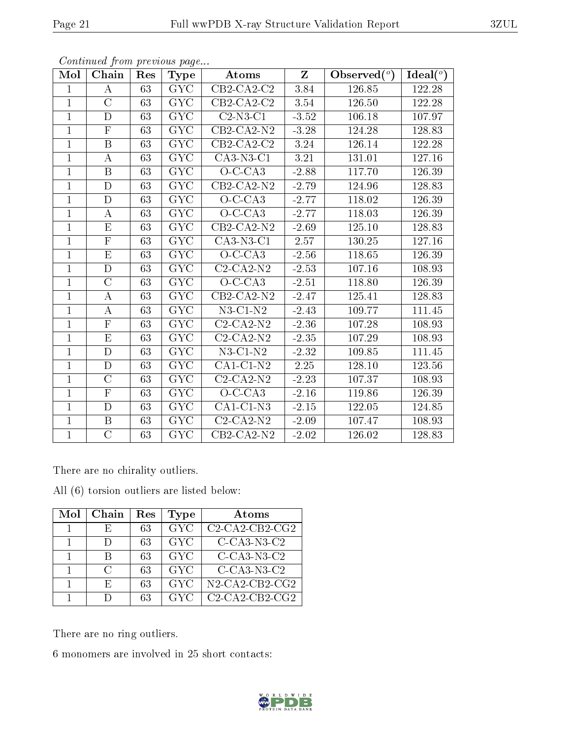| Mol            | Chain                   | Res | Type                    | Atoms                          | $Z_{\parallel}$ | Observed $(°)$ | $\text{Ideal}({}^o)$ |
|----------------|-------------------------|-----|-------------------------|--------------------------------|-----------------|----------------|----------------------|
| $\mathbf{1}$   | А                       | 63  | <b>GYC</b>              | $\overline{\text{CB2-CA2-C2}}$ | 3.84            | 126.85         | 122.28               |
| $\overline{1}$ | $\overline{C}$          | 63  | <b>GYC</b>              | $CB2-CA2-C2$                   | 3.54            | 126.50         | 122.28               |
| $\mathbf{1}$   | $\mathbf D$             | 63  | GYC                     | $C2-N3-C1$                     | $-3.52$         | 106.18         | 107.97               |
| $\mathbf{1}$   | ${\bf F}$               | 63  | <b>GYC</b>              | $CB2-CA2-N2$                   | $-3.28$         | 124.28         | 128.83               |
| $\mathbf{1}$   | $\overline{\mathrm{B}}$ | 63  | $\overline{\text{GYC}}$ | $CB2-CA2-C2$                   | 3.24            | 126.14         | 122.28               |
| $\mathbf{1}$   | $\bf{A}$                | 63  | <b>GYC</b>              | $CA3-N3-C1$                    | $3.21\,$        | 131.01         | 127.16               |
| $\mathbf{1}$   | $\boldsymbol{B}$        | 63  | <b>GYC</b>              | $O-C-CA3$                      | $-2.88$         | 117.70         | 126.39               |
| $\mathbf{1}$   | $\mathbf D$             | 63  | GYC                     | $CB2-CA2-N2$                   | $-2.79$         | 124.96         | 128.83               |
| $\mathbf{1}$   | D                       | 63  | <b>GYC</b>              | $O-C-CA3$                      | $-2.77$         | 118.02         | 126.39               |
| $\overline{1}$ | $\boldsymbol{A}$        | 63  | GYC                     | $O-C-CA3$                      | $-2.77$         | 118.03         | 126.39               |
| $\mathbf{1}$   | E                       | 63  | GYC                     | $CB2-CA2-N2$                   | $-2.69$         | 125.10         | 128.83               |
| $\mathbf{1}$   | $\overline{\mathrm{F}}$ | 63  | $\overline{\text{GYC}}$ | $CA3-N3-C1$                    | 2.57            | 130.25         | 127.16               |
| $\mathbf{1}$   | E                       | 63  | <b>GYC</b>              | $O-C-CA3$                      | $-2.56$         | 118.65         | 126.39               |
| $\mathbf{1}$   | $\mathbf D$             | 63  | <b>GYC</b>              | $C2 - CA2 - N2$                | $-2.53$         | 107.16         | 108.93               |
| $\mathbf{1}$   | $\mathcal{C}$           | 63  | GYC                     | $O-C-CA3$                      | $-2.51$         | 118.80         | 126.39               |
| $\mathbf{1}$   | $\boldsymbol{A}$        | 63  | <b>GYC</b>              | $CB2-CA2-N2$                   | $-2.47$         | 125.41         | 128.83               |
| $\mathbf{1}$   | $\boldsymbol{A}$        | 63  | <b>GYC</b>              | $N3$ -C1- $N2$                 | $-2.43$         | 109.77         | 111.45               |
| $\mathbf{1}$   | $\mathbf F$             | 63  | <b>GYC</b>              | $C2-CA2-N2$                    | $-2.36$         | 107.28         | 108.93               |
| $\mathbf{1}$   | ${\rm E}$               | 63  | <b>GYC</b>              | $C2-CA2-N2$                    | $-2.35$         | 107.29         | 108.93               |
| $\mathbf{1}$   | D                       | 63  | <b>GYC</b>              | $N3$ -C1- $N2$                 | $-2.32$         | 109.85         | 111.45               |
| $\mathbf{1}$   | $\mathbf D$             | 63  | <b>GYC</b>              | $CA1-C1-N2$                    | 2.25            | 128.10         | 123.56               |
| $\mathbf{1}$   | $\overline{C}$          | 63  | <b>GYC</b>              | $C2-CA2-N2$                    | $-2.23$         | 107.37         | 108.93               |
| $\mathbf{1}$   | $\overline{F}$          | 63  | <b>GYC</b>              | $O-C-CA3$                      | $-2.16$         | 119.86         | 126.39               |
| $\overline{1}$ | $\mathbf D$             | 63  | <b>GYC</b>              | $CA1-C1-N3$                    | $-2.15$         | 122.05         | 124.85               |
| $\mathbf{1}$   | B                       | 63  | <b>GYC</b>              | $C2-CA2-N2$                    | $-2.09$         | 107.47         | 108.93               |
| $\mathbf 1$    | $\mathcal{C}$           | 63  | GYC                     | $CB2-CA2-N2$                   | $-2.02$         | 126.02         | 128.83               |

There are no chirality outliers.

All (6) torsion outliers are listed below:

| Mol | Chain | $\operatorname{Res}% \left( \mathcal{N}\right) \equiv\operatorname{Res}(\mathcal{N}_{0})\cap\mathcal{N}_{1}$ | Type       | Atoms             |
|-----|-------|--------------------------------------------------------------------------------------------------------------|------------|-------------------|
|     | н,    | 63                                                                                                           | <b>GYC</b> | $C2-CA2-CB2-CG2$  |
|     |       | 63                                                                                                           | <b>GYC</b> | $C$ -CA3-N3-C2    |
|     |       | 63                                                                                                           | <b>GYC</b> | $C$ -CA3-N3-C2    |
|     | C     | 63                                                                                                           | <b>GYC</b> | $C$ -CA3-N3-C2    |
|     | F.    | 63                                                                                                           | <b>GYC</b> | $N2$ -CA2-CB2-CG2 |
|     |       | 63                                                                                                           | GYC        | $C2-CA2-CB2-CG2$  |

There are no ring outliers.

6 monomers are involved in 25 short contacts:

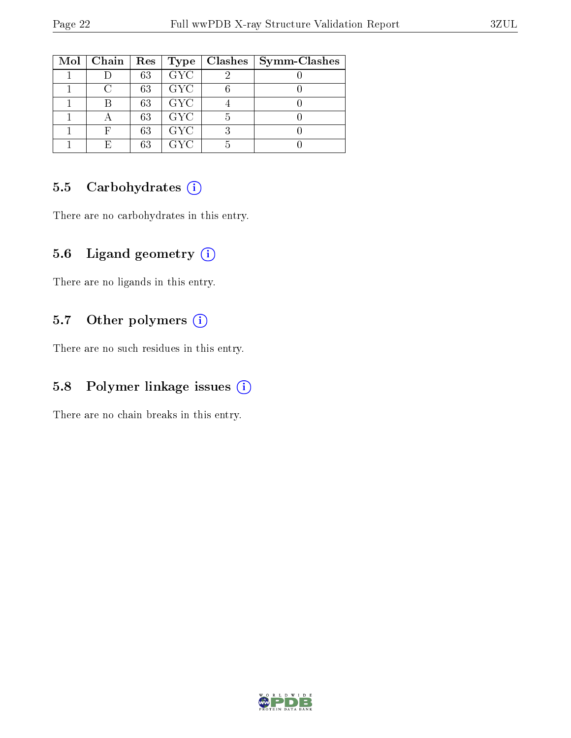| $Mol$   Chain   Res |    |            | Type   Classhes | Symm-Clashes |
|---------------------|----|------------|-----------------|--------------|
|                     | 63 | <b>GYC</b> |                 |              |
|                     | 63 | <b>GYC</b> |                 |              |
|                     | 63 | <b>GYC</b> |                 |              |
|                     | 63 | <b>GYC</b> |                 |              |
|                     | 63 | <b>GYC</b> |                 |              |
|                     | 63 | <b>GYC</b> |                 |              |

### 5.5 Carbohydrates (i)

There are no carbohydrates in this entry.

### 5.6 Ligand geometry (i)

There are no ligands in this entry.

### 5.7 [O](https://www.wwpdb.org/validation/2017/XrayValidationReportHelp#nonstandard_residues_and_ligands)ther polymers (i)

There are no such residues in this entry.

### 5.8 Polymer linkage issues (i)

There are no chain breaks in this entry.

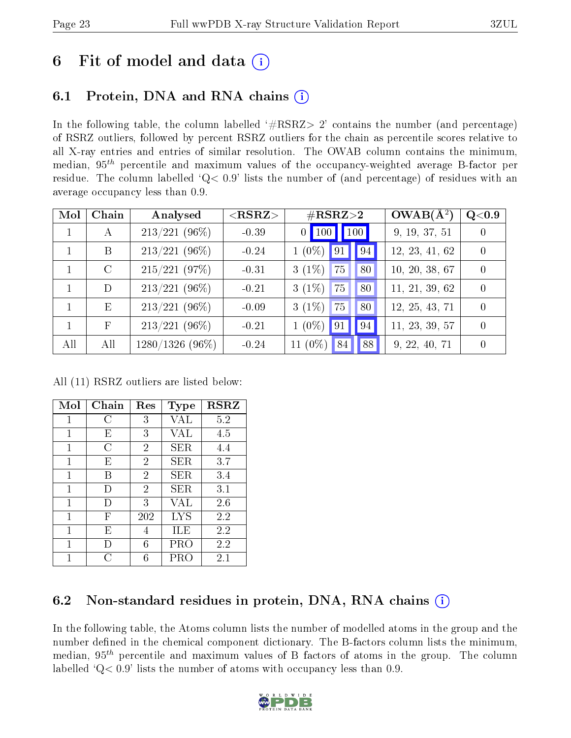# 6 Fit of model and data  $\left( \cdot \right)$

# 6.1 Protein, DNA and RNA chains (i)

In the following table, the column labelled  $#RSRZ> 2'$  contains the number (and percentage) of RSRZ outliers, followed by percent RSRZ outliers for the chain as percentile scores relative to all X-ray entries and entries of similar resolution. The OWAB column contains the minimum, median,  $95<sup>th</sup>$  percentile and maximum values of the occupancy-weighted average B-factor per residue. The column labelled ' $Q< 0.9$ ' lists the number of (and percentage) of residues with an average occupancy less than 0.9.

| Mol          | Chain        | Analysed        | $<$ RSRZ $>$ | $\#\text{RSRZ}\text{>2}$ | $OWAB(A^2)$    | $\rm Q\textcolor{black}{<}0.9$ |
|--------------|--------------|-----------------|--------------|--------------------------|----------------|--------------------------------|
| $\mathbf{1}$ | А            | $213/221$ (96%) | $-0.39$      | 0   100   100            | 9, 19, 37, 51  | $\Omega$                       |
|              | B            | $213/221$ (96%) | $-0.24$      | $1(0\%)$<br>91<br>94     | 12, 23, 41, 62 | $\theta$                       |
|              | $\rm C$      | $215/221$ (97%) | $-0.31$      | $3(1\%)$<br>75<br>80     | 10, 20, 38, 67 | $\Omega$                       |
|              | D            | $213/221$ (96%) | $-0.21$      | $3(1\%)$<br>80<br>75     | 11, 21, 39, 62 | $\Omega$                       |
| $\mathbf{1}$ | E            | $213/221$ (96%) | $-0.09$      | $3(1\%)$<br>80<br>75     | 12, 25, 43, 71 | $\Omega$                       |
|              | $\mathbf{F}$ | $213/221$ (96%) | $-0.21$      | $1(0\%)$<br>94<br>91     | 11, 23, 39, 57 | $\theta$                       |
| All          | All          | 1280/1326 (96%) | $-0.24$      | 11 $(0\%)$<br>88<br>84   | 9, 22, 40, 71  | $\Omega$                       |

All (11) RSRZ outliers are listed below:

| Mol          | $Chain$ | Res            | <b>Type</b> | <b>RSRZ</b> |
|--------------|---------|----------------|-------------|-------------|
| 1            | C       | 3              | VAL         | 5.2         |
| 1            | E       | 3              | VAL         | 4.5         |
| 1            | С       | $\overline{2}$ | SER         | 4.4         |
| 1            | E       | $\overline{2}$ | <b>SER</b>  | 3.7         |
| 1            | R       | $\overline{2}$ | SER.        | 3.4         |
| $\mathbf{1}$ | I)      | $\overline{2}$ | SER.        | 3.1         |
| 1            | $\Box$  | 3              | VAL         | 2.6         |
| 1            | F       | 202            | <b>LYS</b>  | 2.2         |
| 1            | E       | 4              | ILE         | 2.2         |
| 1            | Ð       | 6              | PRO         | 2.2         |
|              |         | 6              | PRC         | 2.1         |

# 6.2 Non-standard residues in protein, DNA, RNA chains  $(i)$

In the following table, the Atoms column lists the number of modelled atoms in the group and the number defined in the chemical component dictionary. The B-factors column lists the minimum, median,  $95<sup>th</sup>$  percentile and maximum values of B factors of atoms in the group. The column labelled  $Q < 0.9$ ' lists the number of atoms with occupancy less than 0.9.